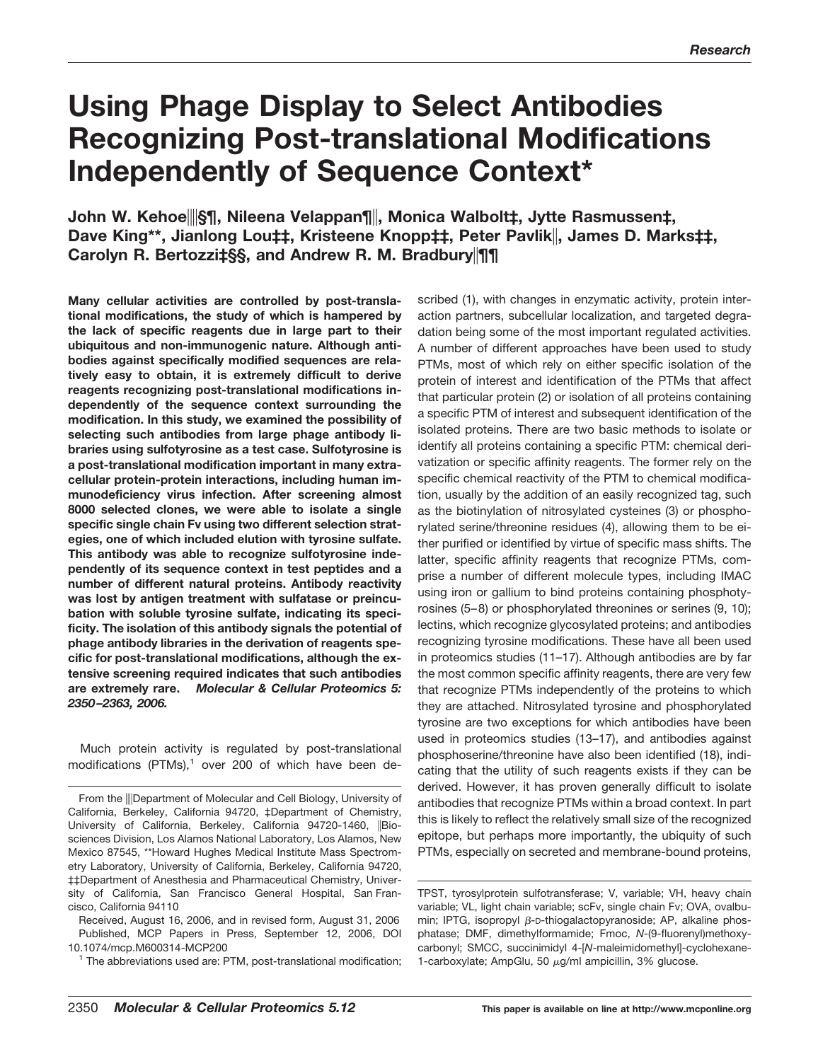# **Using Phage Display to Select Antibodies Recognizing Post-translational Modifications Independently of Sequence Context\***

## **John W. Kehoe§¶, Nileena Velappan¶, Monica Walbolt‡, Jytte Rasmussen‡, Dave King\*\*, Jianlong Lou‡‡, Kristeene Knopp‡‡, Peter Pavlik, James D. Marks‡‡, Carolyn R. Bertozziत, and Andrew R. M. Bradbury** ||11|

**Many cellular activities are controlled by post-translational modifications, the study of which is hampered by the lack of specific reagents due in large part to their ubiquitous and non-immunogenic nature. Although antibodies against specifically modified sequences are relatively easy to obtain, it is extremely difficult to derive reagents recognizing post-translational modifications independently of the sequence context surrounding the modification. In this study, we examined the possibility of selecting such antibodies from large phage antibody libraries using sulfotyrosine as a test case. Sulfotyrosine is a post-translational modification important in many extracellular protein-protein interactions, including human immunodeficiency virus infection. After screening almost 8000 selected clones, we were able to isolate a single specific single chain Fv using two different selection strategies, one of which included elution with tyrosine sulfate. This antibody was able to recognize sulfotyrosine independently of its sequence context in test peptides and a number of different natural proteins. Antibody reactivity was lost by antigen treatment with sulfatase or preincubation with soluble tyrosine sulfate, indicating its specificity. The isolation of this antibody signals the potential of phage antibody libraries in the derivation of reagents specific for post-translational modifications, although the extensive screening required indicates that such antibodies are extremely rare.** *Molecular & Cellular Proteomics 5: 2350 –2363, 2006.*

Much protein activity is regulated by post-translational modifications  $(PTMs),<sup>1</sup>$  over 200 of which have been de-

Received, August 16, 2006, and in revised form, August 31, 2006 Published, MCP Papers in Press, September 12, 2006, DOI 10.1074/mcp.M600314-MCP200

<sup>1</sup> The abbreviations used are: PTM, post-translational modification;

scribed (1), with changes in enzymatic activity, protein interaction partners, subcellular localization, and targeted degradation being some of the most important regulated activities. A number of different approaches have been used to study PTMs, most of which rely on either specific isolation of the protein of interest and identification of the PTMs that affect that particular protein (2) or isolation of all proteins containing a specific PTM of interest and subsequent identification of the isolated proteins. There are two basic methods to isolate or identify all proteins containing a specific PTM: chemical derivatization or specific affinity reagents. The former rely on the specific chemical reactivity of the PTM to chemical modification, usually by the addition of an easily recognized tag, such as the biotinylation of nitrosylated cysteines (3) or phosphorylated serine/threonine residues (4), allowing them to be either purified or identified by virtue of specific mass shifts. The latter, specific affinity reagents that recognize PTMs, comprise a number of different molecule types, including IMAC using iron or gallium to bind proteins containing phosphotyrosines (5–8) or phosphorylated threonines or serines (9, 10); lectins, which recognize glycosylated proteins; and antibodies recognizing tyrosine modifications. These have all been used in proteomics studies (11–17). Although antibodies are by far the most common specific affinity reagents, there are very few that recognize PTMs independently of the proteins to which they are attached. Nitrosylated tyrosine and phosphorylated tyrosine are two exceptions for which antibodies have been used in proteomics studies (13–17), and antibodies against phosphoserine/threonine have also been identified (18), indicating that the utility of such reagents exists if they can be derived. However, it has proven generally difficult to isolate antibodies that recognize PTMs within a broad context. In part this is likely to reflect the relatively small size of the recognized epitope, but perhaps more importantly, the ubiquity of such PTMs, especially on secreted and membrane-bound proteins,

From the **Department of Molecular and Cell Biology**, University of California, Berkeley, California 94720, ‡Department of Chemistry, University of California, Berkeley, California 94720-1460, Biosciences Division, Los Alamos National Laboratory, Los Alamos, New Mexico 87545, \*\*Howard Hughes Medical Institute Mass Spectrometry Laboratory, University of California, Berkeley, California 94720, ‡‡Department of Anesthesia and Pharmaceutical Chemistry, University of California, San Francisco General Hospital, San Francisco, California 94110

TPST, tyrosylprotein sulfotransferase; V, variable; VH, heavy chain variable; VL, light chain variable; scFv, single chain Fv; OVA, ovalbumin; IPTG, isopropyl  $\beta$ -D-thiogalactopyranoside; AP, alkaline phosphatase; DMF, dimethylformamide; Fmoc, *N*-(9-fluorenyl)methoxycarbonyl; SMCC, succinimidyl 4-[*N*-maleimidomethyl]-cyclohexane-1-carboxylate; AmpGlu, 50  $\mu$ g/ml ampicillin, 3% glucose.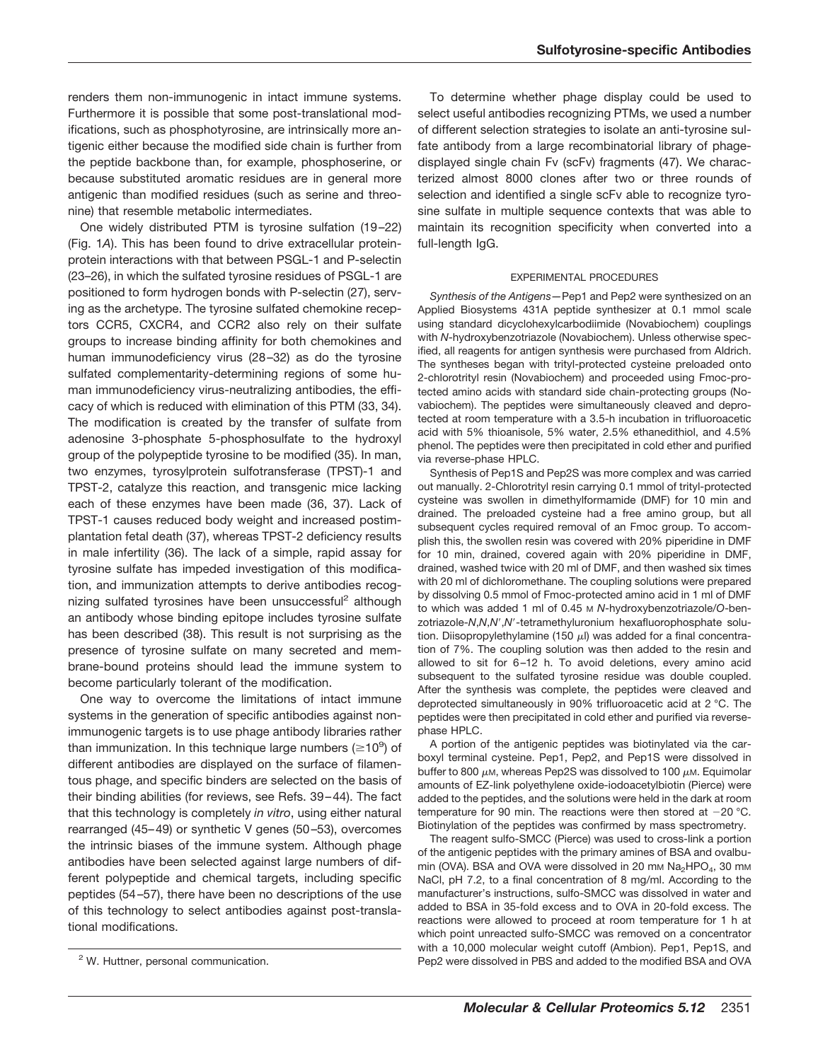renders them non-immunogenic in intact immune systems. Furthermore it is possible that some post-translational modifications, such as phosphotyrosine, are intrinsically more antigenic either because the modified side chain is further from the peptide backbone than, for example, phosphoserine, or because substituted aromatic residues are in general more antigenic than modified residues (such as serine and threonine) that resemble metabolic intermediates.

One widely distributed PTM is tyrosine sulfation (19 –22) (Fig. 1*A*). This has been found to drive extracellular proteinprotein interactions with that between PSGL-1 and P-selectin (23–26), in which the sulfated tyrosine residues of PSGL-1 are positioned to form hydrogen bonds with P-selectin (27), serving as the archetype. The tyrosine sulfated chemokine receptors CCR5, CXCR4, and CCR2 also rely on their sulfate groups to increase binding affinity for both chemokines and human immunodeficiency virus (28-32) as do the tyrosine sulfated complementarity-determining regions of some human immunodeficiency virus-neutralizing antibodies, the efficacy of which is reduced with elimination of this PTM (33, 34). The modification is created by the transfer of sulfate from adenosine 3-phosphate 5-phosphosulfate to the hydroxyl group of the polypeptide tyrosine to be modified (35). In man, two enzymes, tyrosylprotein sulfotransferase (TPST)-1 and TPST-2, catalyze this reaction, and transgenic mice lacking each of these enzymes have been made (36, 37). Lack of TPST-1 causes reduced body weight and increased postimplantation fetal death (37), whereas TPST-2 deficiency results in male infertility (36). The lack of a simple, rapid assay for tyrosine sulfate has impeded investigation of this modification, and immunization attempts to derive antibodies recognizing sulfated tyrosines have been unsuccessful<sup>2</sup> although an antibody whose binding epitope includes tyrosine sulfate has been described (38). This result is not surprising as the presence of tyrosine sulfate on many secreted and membrane-bound proteins should lead the immune system to become particularly tolerant of the modification.

One way to overcome the limitations of intact immune systems in the generation of specific antibodies against nonimmunogenic targets is to use phage antibody libraries rather than immunization. In this technique large numbers ( $\geq$ 10<sup>9</sup>) of different antibodies are displayed on the surface of filamentous phage, and specific binders are selected on the basis of their binding abilities (for reviews, see Refs. 39 – 44). The fact that this technology is completely *in vitro*, using either natural rearranged (45– 49) or synthetic V genes (50 –53), overcomes the intrinsic biases of the immune system. Although phage antibodies have been selected against large numbers of different polypeptide and chemical targets, including specific peptides (54 –57), there have been no descriptions of the use of this technology to select antibodies against post-translational modifications.

To determine whether phage display could be used to select useful antibodies recognizing PTMs, we used a number of different selection strategies to isolate an anti-tyrosine sulfate antibody from a large recombinatorial library of phagedisplayed single chain Fv (scFv) fragments (47). We characterized almost 8000 clones after two or three rounds of selection and identified a single scFv able to recognize tyrosine sulfate in multiple sequence contexts that was able to maintain its recognition specificity when converted into a full-length IgG.

#### EXPERIMENTAL PROCEDURES

*Synthesis of the Antigens—*Pep1 and Pep2 were synthesized on an Applied Biosystems 431A peptide synthesizer at 0.1 mmol scale using standard dicyclohexylcarbodiimide (Novabiochem) couplings with *N*-hydroxybenzotriazole (Novabiochem). Unless otherwise specified, all reagents for antigen synthesis were purchased from Aldrich. The syntheses began with trityl-protected cysteine preloaded onto 2-chlorotrityl resin (Novabiochem) and proceeded using Fmoc-protected amino acids with standard side chain-protecting groups (Novabiochem). The peptides were simultaneously cleaved and deprotected at room temperature with a 3.5-h incubation in trifluoroacetic acid with 5% thioanisole, 5% water, 2.5% ethanedithiol, and 4.5% phenol. The peptides were then precipitated in cold ether and purified via reverse-phase HPLC.

Synthesis of Pep1S and Pep2S was more complex and was carried out manually. 2-Chlorotrityl resin carrying 0.1 mmol of trityl-protected cysteine was swollen in dimethylformamide (DMF) for 10 min and drained. The preloaded cysteine had a free amino group, but all subsequent cycles required removal of an Fmoc group. To accomplish this, the swollen resin was covered with 20% piperidine in DMF for 10 min, drained, covered again with 20% piperidine in DMF, drained, washed twice with 20 ml of DMF, and then washed six times with 20 ml of dichloromethane. The coupling solutions were prepared by dissolving 0.5 mmol of Fmoc-protected amino acid in 1 ml of DMF to which was added 1 ml of 0.45 M *N*-hydroxybenzotriazole/*O*-benzotriazole-*N*,*N*,*N*,*N*-tetramethyluronium hexafluorophosphate solution. Diisopropylethylamine (150  $\mu$ l) was added for a final concentration of 7%. The coupling solution was then added to the resin and allowed to sit for 6-12 h. To avoid deletions, every amino acid subsequent to the sulfated tyrosine residue was double coupled. After the synthesis was complete, the peptides were cleaved and deprotected simultaneously in 90% trifluoroacetic acid at 2 °C. The peptides were then precipitated in cold ether and purified via reversephase HPLC.

A portion of the antigenic peptides was biotinylated via the carboxyl terminal cysteine. Pep1, Pep2, and Pep1S were dissolved in buffer to 800  $\mu$ m, whereas Pep2S was dissolved to 100  $\mu$ m. Equimolar amounts of EZ-link polyethylene oxide-iodoacetylbiotin (Pierce) were added to the peptides, and the solutions were held in the dark at room temperature for 90 min. The reactions were then stored at  $-20$  °C. Biotinylation of the peptides was confirmed by mass spectrometry.

The reagent sulfo-SMCC (Pierce) was used to cross-link a portion of the antigenic peptides with the primary amines of BSA and ovalbumin (OVA). BSA and OVA were dissolved in 20 mm  $Na<sub>2</sub>HPO<sub>4</sub>$ , 30 mm NaCl, pH 7.2, to a final concentration of 8 mg/ml. According to the manufacturer's instructions, sulfo-SMCC was dissolved in water and added to BSA in 35-fold excess and to OVA in 20-fold excess. The reactions were allowed to proceed at room temperature for 1 h at which point unreacted sulfo-SMCC was removed on a concentrator with a 10,000 molecular weight cutoff (Ambion). Pep1, Pep1S, and <sup>2</sup> W. Huttner, personal communication. The modified BSA and OVA 2 W. Huttner, personal communication.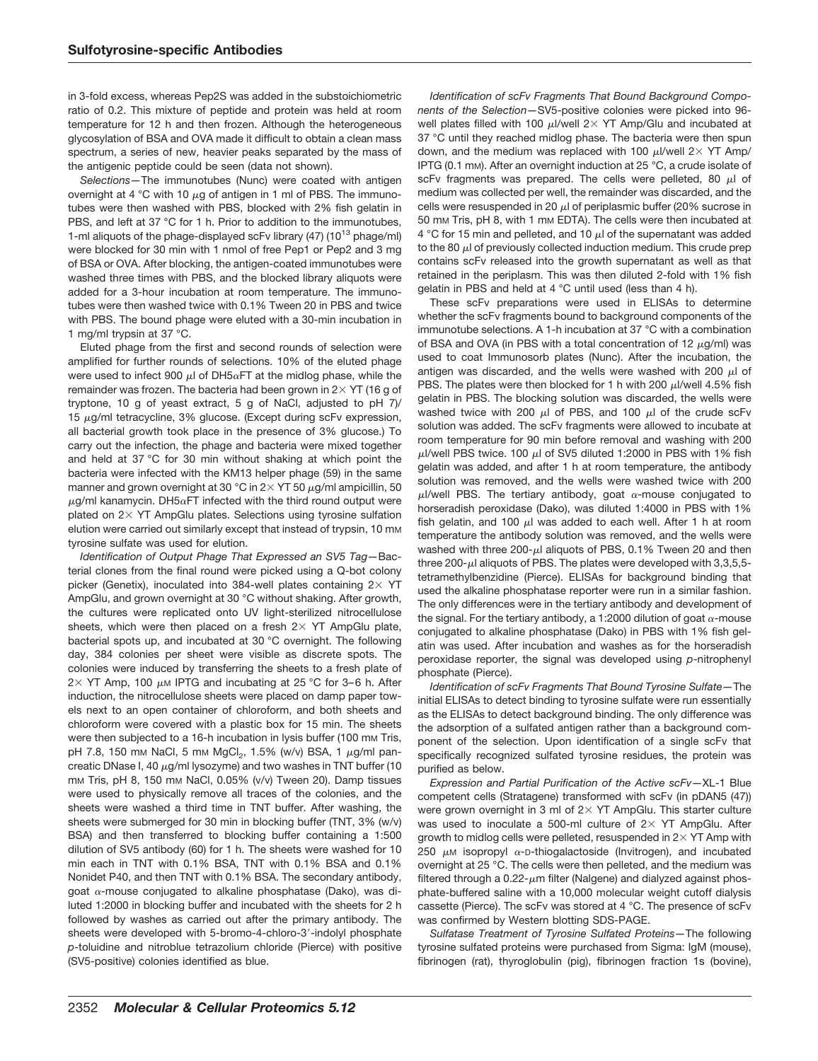in 3-fold excess, whereas Pep2S was added in the substoichiometric ratio of 0.2. This mixture of peptide and protein was held at room temperature for 12 h and then frozen. Although the heterogeneous glycosylation of BSA and OVA made it difficult to obtain a clean mass spectrum, a series of new, heavier peaks separated by the mass of the antigenic peptide could be seen (data not shown).

*Selections—*The immunotubes (Nunc) were coated with antigen overnight at 4 °C with 10  $\mu$ g of antigen in 1 ml of PBS. The immunotubes were then washed with PBS, blocked with 2% fish gelatin in PBS, and left at 37 °C for 1 h. Prior to addition to the immunotubes, 1-ml aliquots of the phage-displayed scFv library (47) (10<sup>13</sup> phage/ml) were blocked for 30 min with 1 nmol of free Pep1 or Pep2 and 3 mg of BSA or OVA. After blocking, the antigen-coated immunotubes were washed three times with PBS, and the blocked library aliquots were added for a 3-hour incubation at room temperature. The immunotubes were then washed twice with 0.1% Tween 20 in PBS and twice with PBS. The bound phage were eluted with a 30-min incubation in 1 mg/ml trypsin at 37 °C.

Eluted phage from the first and second rounds of selection were amplified for further rounds of selections. 10% of the eluted phage were used to infect 900  $\mu$ l of DH5 $\alpha$ FT at the midlog phase, while the remainder was frozen. The bacteria had been grown in  $2 \times$  YT (16 g of tryptone, 10 g of yeast extract, 5 g of NaCl, adjusted to pH 7)/ 15  $\mu$ g/ml tetracycline, 3% glucose. (Except during scFv expression, all bacterial growth took place in the presence of 3% glucose.) To carry out the infection, the phage and bacteria were mixed together and held at 37 °C for 30 min without shaking at which point the bacteria were infected with the KM13 helper phage (59) in the same manner and grown overnight at 30 °C in 2 $\times$  YT 50  $\mu$ g/ml ampicillin, 50  $\mu$ g/ml kanamycin. DH5 $\alpha$ FT infected with the third round output were plated on  $2 \times$  YT AmpGlu plates. Selections using tyrosine sulfation elution were carried out similarly except that instead of trypsin, 10 mm tyrosine sulfate was used for elution.

*Identification of Output Phage That Expressed an SV5 Tag—*Bacterial clones from the final round were picked using a Q-bot colony picker (Genetix), inoculated into 384-well plates containing  $2 \times$  YT AmpGlu, and grown overnight at 30 °C without shaking. After growth, the cultures were replicated onto UV light-sterilized nitrocellulose sheets, which were then placed on a fresh  $2 \times$  YT AmpGlu plate, bacterial spots up, and incubated at 30 °C overnight. The following day, 384 colonies per sheet were visible as discrete spots. The colonies were induced by transferring the sheets to a fresh plate of 2 $\times$  YT Amp, 100  $\mu$ m IPTG and incubating at 25 °C for 3–6 h. After induction, the nitrocellulose sheets were placed on damp paper towels next to an open container of chloroform, and both sheets and chloroform were covered with a plastic box for 15 min. The sheets were then subjected to a 16-h incubation in lysis buffer (100 mm Tris, pH 7.8, 150 mm NaCl, 5 mm MgCl<sub>2</sub>, 1.5% (w/v) BSA, 1  $\mu$ g/ml pancreatic DNase I, 40  $\mu$ g/ml lysozyme) and two washes in TNT buffer (10 mM Tris, pH 8, 150 mM NaCl, 0.05% (v/v) Tween 20). Damp tissues were used to physically remove all traces of the colonies, and the sheets were washed a third time in TNT buffer. After washing, the sheets were submerged for 30 min in blocking buffer (TNT, 3% (w/v) BSA) and then transferred to blocking buffer containing a 1:500 dilution of SV5 antibody (60) for 1 h. The sheets were washed for 10 min each in TNT with 0.1% BSA, TNT with 0.1% BSA and 0.1% Nonidet P40, and then TNT with 0.1% BSA. The secondary antibody, goat  $\alpha$ -mouse conjugated to alkaline phosphatase (Dako), was diluted 1:2000 in blocking buffer and incubated with the sheets for 2 h followed by washes as carried out after the primary antibody. The sheets were developed with 5-bromo-4-chloro-3'-indolyl phosphate *p*-toluidine and nitroblue tetrazolium chloride (Pierce) with positive (SV5-positive) colonies identified as blue.

*Identification of scFv Fragments That Bound Background Components of the Selection—*SV5-positive colonies were picked into 96 well plates filled with 100  $\mu$ I/well 2 $\times$  YT Amp/Glu and incubated at 37 °C until they reached midlog phase. The bacteria were then spun down, and the medium was replaced with 100  $\mu$ I/well 2 $\times$  YT Amp/ IPTG (0.1 mM). After an overnight induction at 25 °C, a crude isolate of scFv fragments was prepared. The cells were pelleted, 80  $\mu$ l of medium was collected per well, the remainder was discarded, and the cells were resuspended in 20  $\mu$ l of periplasmic buffer (20% sucrose in 50 mm Tris, pH 8, with 1 mm EDTA). The cells were then incubated at 4 °C for 15 min and pelleted, and 10  $\mu$ l of the supernatant was added to the 80  $\mu$ l of previously collected induction medium. This crude prep contains scFv released into the growth supernatant as well as that retained in the periplasm. This was then diluted 2-fold with 1% fish gelatin in PBS and held at 4 °C until used (less than 4 h).

These scFv preparations were used in ELISAs to determine whether the scFv fragments bound to background components of the immunotube selections. A 1-h incubation at 37 °C with a combination of BSA and OVA (in PBS with a total concentration of 12  $\mu$ g/ml) was used to coat Immunosorb plates (Nunc). After the incubation, the antigen was discarded, and the wells were washed with 200  $\mu$ l of PBS. The plates were then blocked for 1 h with 200  $\mu$ I/well 4.5% fish gelatin in PBS. The blocking solution was discarded, the wells were washed twice with 200  $\mu$ l of PBS, and 100  $\mu$ l of the crude scFv solution was added. The scFv fragments were allowed to incubate at room temperature for 90 min before removal and washing with 200  $\mu$ l/well PBS twice. 100  $\mu$ l of SV5 diluted 1:2000 in PBS with 1% fish gelatin was added, and after 1 h at room temperature, the antibody solution was removed, and the wells were washed twice with 200  $\mu$ I/well PBS. The tertiary antibody, goat  $\alpha$ -mouse conjugated to horseradish peroxidase (Dako), was diluted 1:4000 in PBS with 1% fish gelatin, and 100  $\mu$ l was added to each well. After 1 h at room temperature the antibody solution was removed, and the wells were washed with three 200- $\mu$ l aliquots of PBS, 0.1% Tween 20 and then three 200- $\mu$ l aliquots of PBS. The plates were developed with 3,3,5,5tetramethylbenzidine (Pierce). ELISAs for background binding that used the alkaline phosphatase reporter were run in a similar fashion. The only differences were in the tertiary antibody and development of the signal. For the tertiary antibody, a 1:2000 dilution of goat  $\alpha$ -mouse conjugated to alkaline phosphatase (Dako) in PBS with 1% fish gelatin was used. After incubation and washes as for the horseradish peroxidase reporter, the signal was developed using *p*-nitrophenyl phosphate (Pierce).

*Identification of scFv Fragments That Bound Tyrosine Sulfate—*The initial ELISAs to detect binding to tyrosine sulfate were run essentially as the ELISAs to detect background binding. The only difference was the adsorption of a sulfated antigen rather than a background component of the selection. Upon identification of a single scFv that specifically recognized sulfated tyrosine residues, the protein was purified as below.

*Expression and Partial Purification of the Active scFv—*XL-1 Blue competent cells (Stratagene) transformed with scFv (in pDAN5 (47)) were grown overnight in 3 ml of  $2 \times$  YT AmpGlu. This starter culture was used to inoculate a 500-ml culture of  $2 \times$  YT AmpGlu. After growth to midlog cells were pelleted, resuspended in  $2\times$  YT Amp with 250  $\mu$ M isopropyl  $\alpha$ -D-thiogalactoside (Invitrogen), and incubated overnight at 25 °C. The cells were then pelleted, and the medium was filtered through a  $0.22$ - $\mu$ m filter (Nalgene) and dialyzed against phosphate-buffered saline with a 10,000 molecular weight cutoff dialysis cassette (Pierce). The scFv was stored at 4 °C. The presence of scFv was confirmed by Western blotting SDS-PAGE.

*Sulfatase Treatment of Tyrosine Sulfated Proteins—*The following tyrosine sulfated proteins were purchased from Sigma: IgM (mouse), fibrinogen (rat), thyroglobulin (pig), fibrinogen fraction 1s (bovine),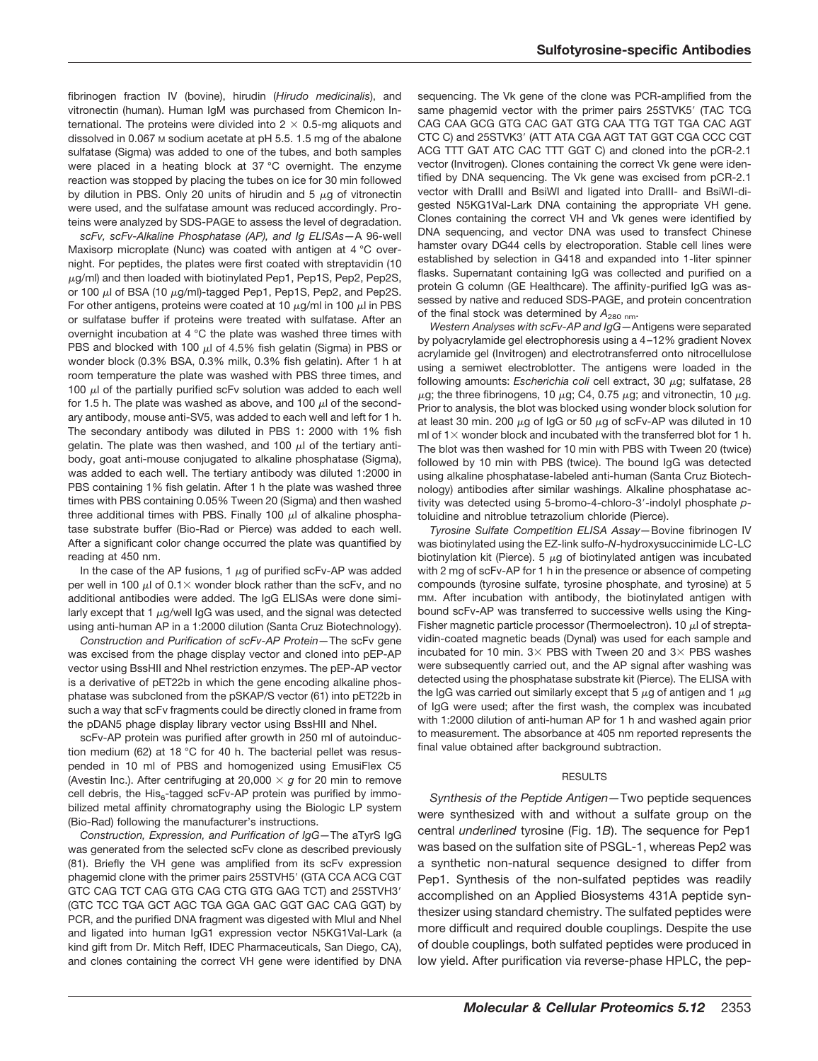fibrinogen fraction IV (bovine), hirudin (*Hirudo medicinalis*), and vitronectin (human). Human IgM was purchased from Chemicon International. The proteins were divided into  $2 \times 0.5$ -mg aliquots and dissolved in 0.067 M sodium acetate at pH 5.5. 1.5 mg of the abalone sulfatase (Sigma) was added to one of the tubes, and both samples were placed in a heating block at 37 °C overnight. The enzyme reaction was stopped by placing the tubes on ice for 30 min followed by dilution in PBS. Only 20 units of hirudin and 5  $\mu$ g of vitronectin were used, and the sulfatase amount was reduced accordingly. Proteins were analyzed by SDS-PAGE to assess the level of degradation.

*scFv, scFv-Alkaline Phosphatase (AP), and Ig ELISAs—*A 96-well Maxisorp microplate (Nunc) was coated with antigen at 4 °C overnight. For peptides, the plates were first coated with streptavidin (10  $\mu$ g/ml) and then loaded with biotinylated Pep1, Pep1S, Pep2, Pep2S, or 100  $\mu$ l of BSA (10  $\mu$ g/ml)-tagged Pep1, Pep1S, Pep2, and Pep2S. For other antigens, proteins were coated at 10  $\mu$ g/ml in 100  $\mu$ l in PBS or sulfatase buffer if proteins were treated with sulfatase. After an overnight incubation at 4 °C the plate was washed three times with PBS and blocked with 100  $\mu$ l of 4.5% fish gelatin (Sigma) in PBS or wonder block (0.3% BSA, 0.3% milk, 0.3% fish gelatin). After 1 h at room temperature the plate was washed with PBS three times, and 100  $\mu$  of the partially purified scFv solution was added to each well for 1.5 h. The plate was washed as above, and 100  $\mu$ l of the secondary antibody, mouse anti-SV5, was added to each well and left for 1 h. The secondary antibody was diluted in PBS 1: 2000 with 1% fish gelatin. The plate was then washed, and 100  $\mu$ l of the tertiary antibody, goat anti-mouse conjugated to alkaline phosphatase (Sigma), was added to each well. The tertiary antibody was diluted 1:2000 in PBS containing 1% fish gelatin. After 1 h the plate was washed three times with PBS containing 0.05% Tween 20 (Sigma) and then washed three additional times with PBS. Finally 100  $\mu$ l of alkaline phosphatase substrate buffer (Bio-Rad or Pierce) was added to each well. After a significant color change occurred the plate was quantified by reading at 450 nm.

In the case of the AP fusions, 1  $\mu$ g of purified scFv-AP was added per well in 100  $\mu$ l of 0.1  $\times$  wonder block rather than the scFv, and no additional antibodies were added. The IgG ELISAs were done similarly except that 1  $\mu$ g/well IgG was used, and the signal was detected using anti-human AP in a 1:2000 dilution (Santa Cruz Biotechnology).

*Construction and Purification of scFv-AP Protein—*The scFv gene was excised from the phage display vector and cloned into pEP-AP vector using BssHII and NheI restriction enzymes. The pEP-AP vector is a derivative of pET22b in which the gene encoding alkaline phosphatase was subcloned from the pSKAP/S vector (61) into pET22b in such a way that scFv fragments could be directly cloned in frame from the pDAN5 phage display library vector using BssHII and NheI.

scFv-AP protein was purified after growth in 250 ml of autoinduction medium (62) at 18 °C for 40 h. The bacterial pellet was resuspended in 10 ml of PBS and homogenized using EmusiFlex C5 (Avestin Inc.). After centrifuging at 20,000  $\times$  g for 20 min to remove cell debris, the His<sub>6</sub>-tagged scFv-AP protein was purified by immobilized metal affinity chromatography using the Biologic LP system (Bio-Rad) following the manufacturer's instructions.

*Construction, Expression, and Purification of IgG—*The aTyrS IgG was generated from the selected scFv clone as described previously (81). Briefly the VH gene was amplified from its scFv expression phagemid clone with the primer pairs 25STVH5' (GTA CCA ACG CGT GTC CAG TCT CAG GTG CAG CTG GTG GAG TCT) and 25STVH3 (GTC TCC TGA GCT AGC TGA GGA GAC GGT GAC CAG GGT) by PCR, and the purified DNA fragment was digested with MluI and NheI and ligated into human IgG1 expression vector N5KG1Val-Lark (a kind gift from Dr. Mitch Reff, IDEC Pharmaceuticals, San Diego, CA), and clones containing the correct VH gene were identified by DNA sequencing. The Vk gene of the clone was PCR-amplified from the same phagemid vector with the primer pairs 25STVK5' (TAC TCG CAG CAA GCG GTG CAC GAT GTG CAA TTG TGT TGA CAC AGT CTC C) and 25STVK3' (ATT ATA CGA AGT TAT GGT CGA CCC CGT ACG TTT GAT ATC CAC TTT GGT C) and cloned into the pCR-2.1 vector (Invitrogen). Clones containing the correct Vk gene were identified by DNA sequencing. The Vk gene was excised from pCR-2.1 vector with DraIII and BsiWI and ligated into DraIII- and BsiWI-digested N5KG1Val-Lark DNA containing the appropriate VH gene. Clones containing the correct VH and Vk genes were identified by DNA sequencing, and vector DNA was used to transfect Chinese hamster ovary DG44 cells by electroporation. Stable cell lines were established by selection in G418 and expanded into 1-liter spinner flasks. Supernatant containing IgG was collected and purified on a protein G column (GE Healthcare). The affinity-purified IgG was assessed by native and reduced SDS-PAGE, and protein concentration of the final stock was determined by  $A_{280 \text{ nm}}$ .

*Western Analyses with scFv-AP and IgG—*Antigens were separated by polyacrylamide gel electrophoresis using a 4 –12% gradient Novex acrylamide gel (Invitrogen) and electrotransferred onto nitrocellulose using a semiwet electroblotter. The antigens were loaded in the following amounts: Escherichia coli cell extract, 30 μg; sulfatase, 28  $\mu$ g; the three fibrinogens, 10  $\mu$ g; C4, 0.75  $\mu$ g; and vitronectin, 10  $\mu$ g. Prior to analysis, the blot was blocked using wonder block solution for at least 30 min. 200  $\mu$ g of IgG or 50  $\mu$ g of scFv-AP was diluted in 10 ml of  $1\times$  wonder block and incubated with the transferred blot for 1 h. The blot was then washed for 10 min with PBS with Tween 20 (twice) followed by 10 min with PBS (twice). The bound IgG was detected using alkaline phosphatase-labeled anti-human (Santa Cruz Biotechnology) antibodies after similar washings. Alkaline phosphatase activity was detected using 5-bromo-4-chloro-3-indolyl phosphate *p*toluidine and nitroblue tetrazolium chloride (Pierce).

*Tyrosine Sulfate Competition ELISA Assay—*Bovine fibrinogen IV was biotinylated using the EZ-link sulfo-*N*-hydroxysuccinimide LC-LC biotinylation kit (Pierce). 5  $\mu$ g of biotinylated antigen was incubated with 2 mg of scFv-AP for 1 h in the presence or absence of competing compounds (tyrosine sulfate, tyrosine phosphate, and tyrosine) at 5 mM. After incubation with antibody, the biotinylated antigen with bound scFv-AP was transferred to successive wells using the King-Fisher magnetic particle processor (Thermoelectron). 10  $\mu$ l of streptavidin-coated magnetic beads (Dynal) was used for each sample and incubated for 10 min.  $3 \times$  PBS with Tween 20 and  $3 \times$  PBS washes were subsequently carried out, and the AP signal after washing was detected using the phosphatase substrate kit (Pierce). The ELISA with the IgG was carried out similarly except that 5  $\mu$ g of antigen and 1  $\mu$ g of IgG were used; after the first wash, the complex was incubated with 1:2000 dilution of anti-human AP for 1 h and washed again prior to measurement. The absorbance at 405 nm reported represents the final value obtained after background subtraction.

#### RESULTS

*Synthesis of the Peptide Antigen—*Two peptide sequences were synthesized with and without a sulfate group on the central *underlined* tyrosine (Fig. 1*B*). The sequence for Pep1 was based on the sulfation site of PSGL-1, whereas Pep2 was a synthetic non-natural sequence designed to differ from Pep1. Synthesis of the non-sulfated peptides was readily accomplished on an Applied Biosystems 431A peptide synthesizer using standard chemistry. The sulfated peptides were more difficult and required double couplings. Despite the use of double couplings, both sulfated peptides were produced in low yield. After purification via reverse-phase HPLC, the pep-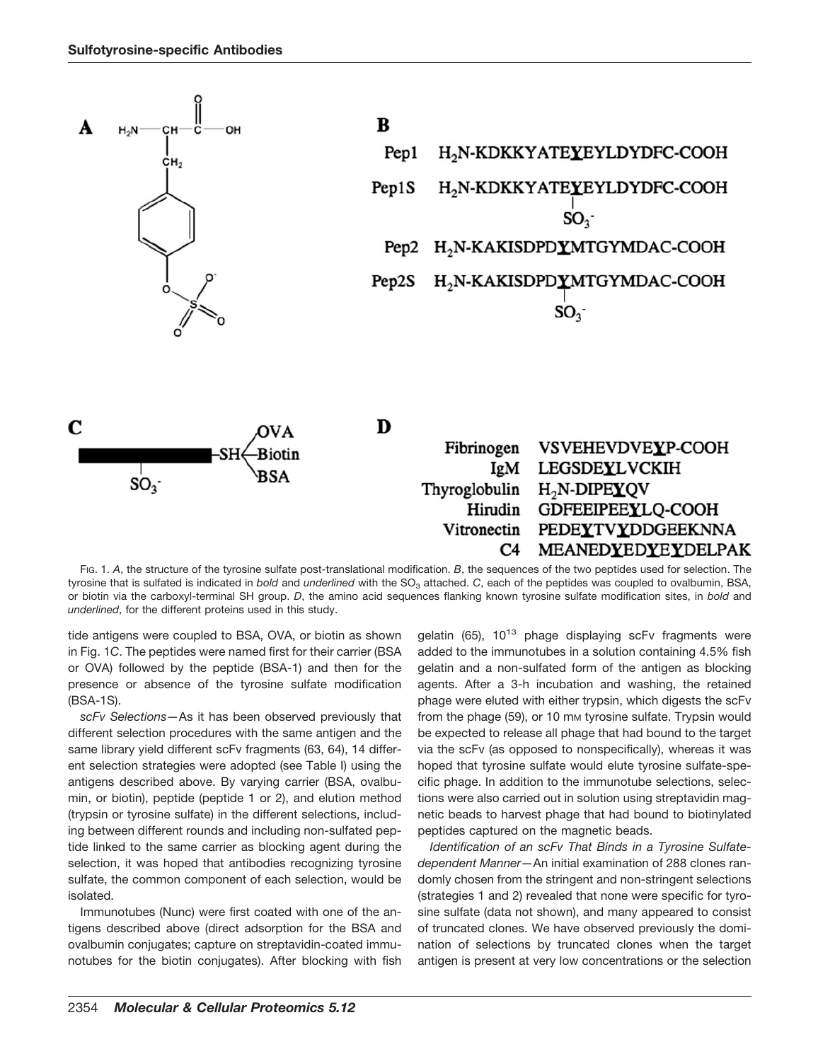

FIG. 1. *A*, the structure of the tyrosine sulfate post-translational modification. *B*, the sequences of the two peptides used for selection. The tyrosine that is sulfated is indicated in *bold* and *underlined* with the SO<sub>3</sub> attached. *C*, each of the peptides was coupled to ovalbumin, BSA, or biotin via the carboxyl-terminal SH group. *D*, the amino acid sequences flanking known tyrosine sulfate modification sites, in *bold* and *underlined*, for the different proteins used in this study.

tide antigens were coupled to BSA, OVA, or biotin as shown in Fig. 1*C*. The peptides were named first for their carrier (BSA or OVA) followed by the peptide (BSA-1) and then for the presence or absence of the tyrosine sulfate modification (BSA-1S).

*scFv Selections—*As it has been observed previously that different selection procedures with the same antigen and the same library yield different scFv fragments (63, 64), 14 different selection strategies were adopted (see Table I) using the antigens described above. By varying carrier (BSA, ovalbumin, or biotin), peptide (peptide 1 or 2), and elution method (trypsin or tyrosine sulfate) in the different selections, including between different rounds and including non-sulfated peptide linked to the same carrier as blocking agent during the selection, it was hoped that antibodies recognizing tyrosine sulfate, the common component of each selection, would be isolated.

Immunotubes (Nunc) were first coated with one of the antigens described above (direct adsorption for the BSA and ovalbumin conjugates; capture on streptavidin-coated immunotubes for the biotin conjugates). After blocking with fish gelatin  $(65)$ ,  $10^{13}$  phage displaying scFv fragments were added to the immunotubes in a solution containing 4.5% fish gelatin and a non-sulfated form of the antigen as blocking agents. After a 3-h incubation and washing, the retained phage were eluted with either trypsin, which digests the scFv from the phage (59), or 10 mm tyrosine sulfate. Trypsin would be expected to release all phage that had bound to the target via the scFv (as opposed to nonspecifically), whereas it was hoped that tyrosine sulfate would elute tyrosine sulfate-specific phage. In addition to the immunotube selections, selections were also carried out in solution using streptavidin magnetic beads to harvest phage that had bound to biotinylated peptides captured on the magnetic beads.

*Identification of an scFv That Binds in a Tyrosine Sulfatedependent Manner—*An initial examination of 288 clones randomly chosen from the stringent and non-stringent selections (strategies 1 and 2) revealed that none were specific for tyrosine sulfate (data not shown), and many appeared to consist of truncated clones. We have observed previously the domination of selections by truncated clones when the target antigen is present at very low concentrations or the selection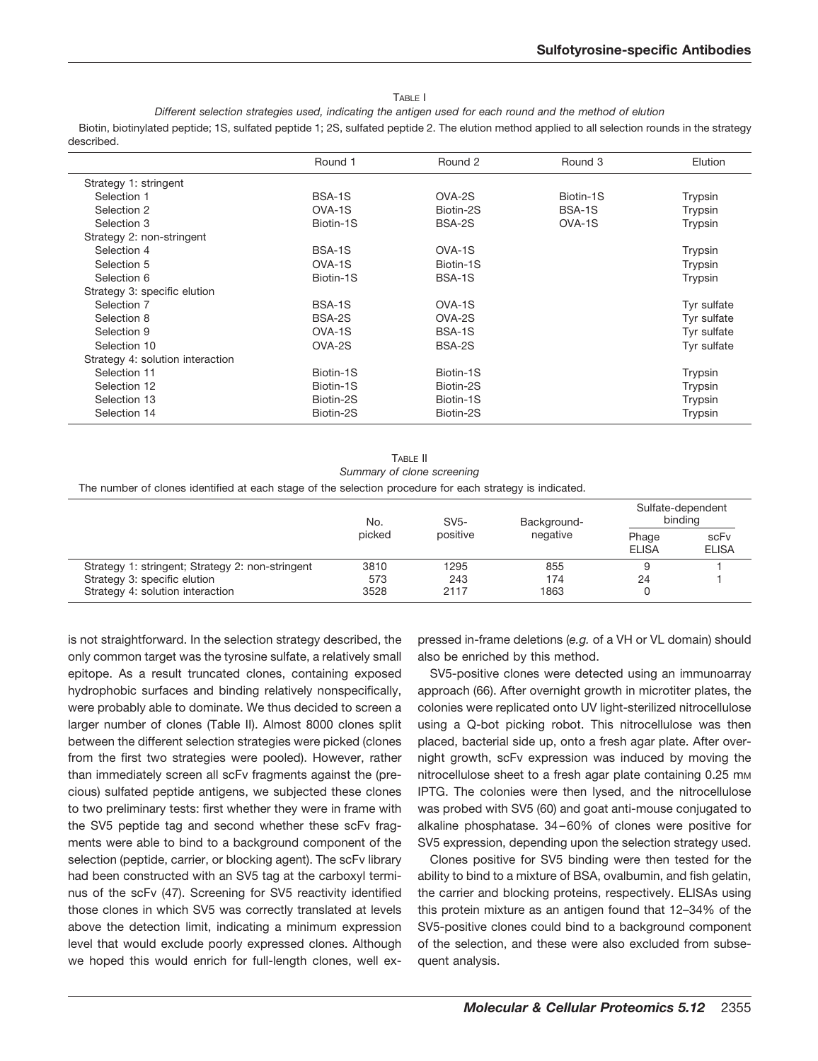TABLE I

*Different selection strategies used, indicating the antigen used for each round and the method of elution*

Biotin, biotinylated peptide; 1S, sulfated peptide 1; 2S, sulfated peptide 2. The elution method applied to all selection rounds in the strategy described.

|                                  | Round 1   | Round 2   | Round 3   | Elution     |
|----------------------------------|-----------|-----------|-----------|-------------|
| Strategy 1: stringent            |           |           |           |             |
| Selection 1                      | BSA-1S    | OVA-2S    | Biotin-1S | Trypsin     |
| Selection 2                      | OVA-1S    | Biotin-2S | BSA-1S    | Trypsin     |
| Selection 3                      | Biotin-1S | BSA-2S    | OVA-1S    | Trypsin     |
| Strategy 2: non-stringent        |           |           |           |             |
| Selection 4                      | BSA-1S    | OVA-1S    |           | Trypsin     |
| Selection 5                      | OVA-1S    | Biotin-1S |           | Trypsin     |
| Selection 6                      | Biotin-1S | BSA-1S    |           | Trypsin     |
| Strategy 3: specific elution     |           |           |           |             |
| Selection 7                      | BSA-1S    | OVA-1S    |           | Tyr sulfate |
| Selection 8                      | BSA-2S    | OVA-2S    |           | Tyr sulfate |
| Selection 9                      | OVA-1S    | BSA-1S    |           | Tyr sulfate |
| Selection 10                     | OVA-2S    | BSA-2S    |           | Tyr sulfate |
| Strategy 4: solution interaction |           |           |           |             |
| Selection 11                     | Biotin-1S | Biotin-1S |           | Trypsin     |
| Selection 12                     | Biotin-1S | Biotin-2S |           | Trypsin     |
| Selection 13                     | Biotin-2S | Biotin-1S |           | Trypsin     |
| Selection 14                     | Biotin-2S | Biotin-2S |           | Trypsin     |

TABLE II *Summary of clone screening*

The number of clones identified at each stage of the selection procedure for each strategy is indicated.

|                                                  | No.    | $SV5-$<br>positive | Background-<br>negative | Sulfate-dependent<br>bindina |                      |
|--------------------------------------------------|--------|--------------------|-------------------------|------------------------------|----------------------|
|                                                  | picked |                    |                         | Phage<br><b>ELISA</b>        | scFv<br><b>ELISA</b> |
| Strategy 1: stringent; Strategy 2: non-stringent | 3810   | 1295               | 855                     |                              |                      |
| Strategy 3: specific elution                     | 573    | 243                | 174                     | 24                           |                      |
| Strategy 4: solution interaction                 | 3528   | 2117               | 1863                    |                              |                      |

is not straightforward. In the selection strategy described, the only common target was the tyrosine sulfate, a relatively small epitope. As a result truncated clones, containing exposed hydrophobic surfaces and binding relatively nonspecifically, were probably able to dominate. We thus decided to screen a larger number of clones (Table II). Almost 8000 clones split between the different selection strategies were picked (clones from the first two strategies were pooled). However, rather than immediately screen all scFv fragments against the (precious) sulfated peptide antigens, we subjected these clones to two preliminary tests: first whether they were in frame with the SV5 peptide tag and second whether these scFv fragments were able to bind to a background component of the selection (peptide, carrier, or blocking agent). The scFv library had been constructed with an SV5 tag at the carboxyl terminus of the scFv (47). Screening for SV5 reactivity identified those clones in which SV5 was correctly translated at levels above the detection limit, indicating a minimum expression level that would exclude poorly expressed clones. Although we hoped this would enrich for full-length clones, well expressed in-frame deletions (*e.g.* of a VH or VL domain) should also be enriched by this method.

SV5-positive clones were detected using an immunoarray approach (66). After overnight growth in microtiter plates, the colonies were replicated onto UV light-sterilized nitrocellulose using a Q-bot picking robot. This nitrocellulose was then placed, bacterial side up, onto a fresh agar plate. After overnight growth, scFv expression was induced by moving the nitrocellulose sheet to a fresh agar plate containing 0.25 mm IPTG. The colonies were then lysed, and the nitrocellulose was probed with SV5 (60) and goat anti-mouse conjugated to alkaline phosphatase. 34 – 60% of clones were positive for SV5 expression, depending upon the selection strategy used.

Clones positive for SV5 binding were then tested for the ability to bind to a mixture of BSA, ovalbumin, and fish gelatin, the carrier and blocking proteins, respectively. ELISAs using this protein mixture as an antigen found that 12–34% of the SV5-positive clones could bind to a background component of the selection, and these were also excluded from subsequent analysis.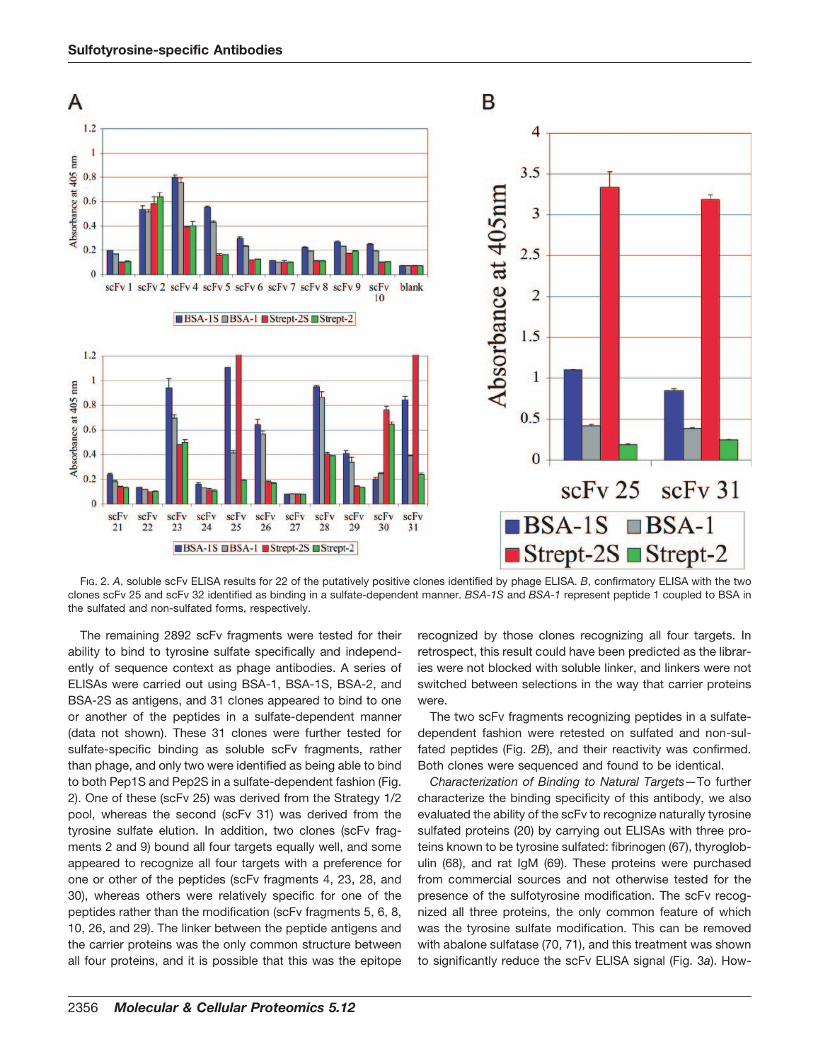

FIG. 2. *A*, soluble scFv ELISA results for 22 of the putatively positive clones identified by phage ELISA. *B*, confirmatory ELISA with the two clones scFv 25 and scFv 32 identified as binding in a sulfate-dependent manner. *BSA-1S* and *BSA-1* represent peptide 1 coupled to BSA in the sulfated and non-sulfated forms, respectively.

The remaining 2892 scFv fragments were tested for their ability to bind to tyrosine sulfate specifically and independently of sequence context as phage antibodies. A series of ELISAs were carried out using BSA-1, BSA-1S, BSA-2, and BSA-2S as antigens, and 31 clones appeared to bind to one or another of the peptides in a sulfate-dependent manner (data not shown). These 31 clones were further tested for sulfate-specific binding as soluble scFv fragments, rather than phage, and only two were identified as being able to bind to both Pep1S and Pep2S in a sulfate-dependent fashion (Fig. 2). One of these (scFv 25) was derived from the Strategy 1/2 pool, whereas the second (scFv 31) was derived from the tyrosine sulfate elution. In addition, two clones (scFv fragments 2 and 9) bound all four targets equally well, and some appeared to recognize all four targets with a preference for one or other of the peptides (scFv fragments 4, 23, 28, and 30), whereas others were relatively specific for one of the peptides rather than the modification (scFv fragments 5, 6, 8, 10, 26, and 29). The linker between the peptide antigens and the carrier proteins was the only common structure between all four proteins, and it is possible that this was the epitope recognized by those clones recognizing all four targets. In retrospect, this result could have been predicted as the libraries were not blocked with soluble linker, and linkers were not switched between selections in the way that carrier proteins were.

The two scFv fragments recognizing peptides in a sulfatedependent fashion were retested on sulfated and non-sulfated peptides (Fig. 2*B*), and their reactivity was confirmed. Both clones were sequenced and found to be identical.

*Characterization of Binding to Natural Targets—*To further characterize the binding specificity of this antibody, we also evaluated the ability of the scFv to recognize naturally tyrosine sulfated proteins (20) by carrying out ELISAs with three proteins known to be tyrosine sulfated: fibrinogen (67), thyroglobulin (68), and rat IgM (69). These proteins were purchased from commercial sources and not otherwise tested for the presence of the sulfotyrosine modification. The scFv recognized all three proteins, the only common feature of which was the tyrosine sulfate modification. This can be removed with abalone sulfatase (70, 71), and this treatment was shown to significantly reduce the scFv ELISA signal (Fig. 3*a*). How-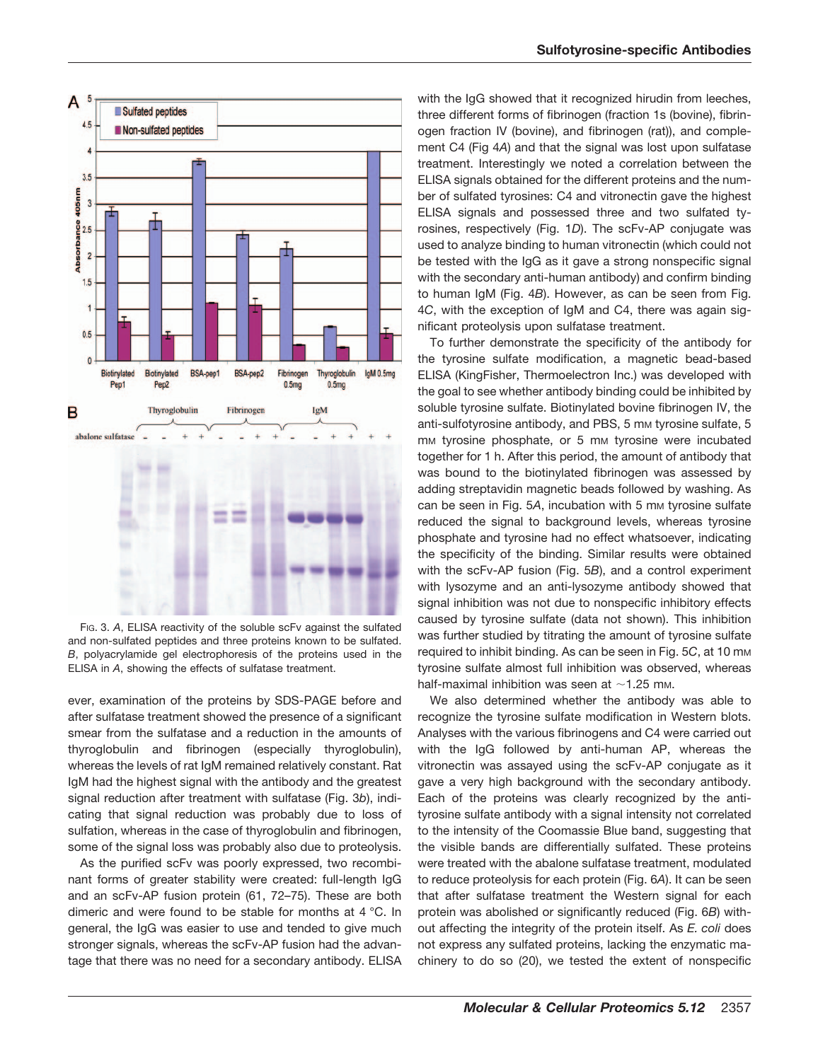

FIG. 3. *A*, ELISA reactivity of the soluble scFv against the sulfated and non-sulfated peptides and three proteins known to be sulfated. *B*, polyacrylamide gel electrophoresis of the proteins used in the ELISA in *A*, showing the effects of sulfatase treatment.

ever, examination of the proteins by SDS-PAGE before and after sulfatase treatment showed the presence of a significant smear from the sulfatase and a reduction in the amounts of thyroglobulin and fibrinogen (especially thyroglobulin), whereas the levels of rat IgM remained relatively constant. Rat IgM had the highest signal with the antibody and the greatest signal reduction after treatment with sulfatase (Fig. 3*b*), indicating that signal reduction was probably due to loss of sulfation, whereas in the case of thyroglobulin and fibrinogen, some of the signal loss was probably also due to proteolysis.

As the purified scFv was poorly expressed, two recombinant forms of greater stability were created: full-length IgG and an scFv-AP fusion protein (61, 72–75). These are both dimeric and were found to be stable for months at 4 °C. In general, the IgG was easier to use and tended to give much stronger signals, whereas the scFv-AP fusion had the advantage that there was no need for a secondary antibody. ELISA with the IgG showed that it recognized hirudin from leeches, three different forms of fibrinogen (fraction 1s (bovine), fibrinogen fraction IV (bovine), and fibrinogen (rat)), and complement C4 (Fig 4*A*) and that the signal was lost upon sulfatase treatment. Interestingly we noted a correlation between the ELISA signals obtained for the different proteins and the number of sulfated tyrosines: C4 and vitronectin gave the highest ELISA signals and possessed three and two sulfated tyrosines, respectively (Fig. 1*D*). The scFv-AP conjugate was used to analyze binding to human vitronectin (which could not be tested with the IgG as it gave a strong nonspecific signal with the secondary anti-human antibody) and confirm binding to human IgM (Fig. 4*B*). However, as can be seen from Fig. 4*C*, with the exception of IgM and C4, there was again significant proteolysis upon sulfatase treatment.

To further demonstrate the specificity of the antibody for the tyrosine sulfate modification, a magnetic bead-based ELISA (KingFisher, Thermoelectron Inc.) was developed with the goal to see whether antibody binding could be inhibited by soluble tyrosine sulfate. Biotinylated bovine fibrinogen IV, the anti-sulfotyrosine antibody, and PBS, 5 mm tyrosine sulfate, 5 mm tyrosine phosphate, or 5 mm tyrosine were incubated together for 1 h. After this period, the amount of antibody that was bound to the biotinylated fibrinogen was assessed by adding streptavidin magnetic beads followed by washing. As can be seen in Fig. 5A, incubation with 5 mm tyrosine sulfate reduced the signal to background levels, whereas tyrosine phosphate and tyrosine had no effect whatsoever, indicating the specificity of the binding. Similar results were obtained with the scFv-AP fusion (Fig. 5*B*), and a control experiment with lysozyme and an anti-lysozyme antibody showed that signal inhibition was not due to nonspecific inhibitory effects caused by tyrosine sulfate (data not shown). This inhibition was further studied by titrating the amount of tyrosine sulfate required to inhibit binding. As can be seen in Fig. 5*C*, at 10 mM tyrosine sulfate almost full inhibition was observed, whereas half-maximal inhibition was seen at  $\sim$ 1.25 mm.

We also determined whether the antibody was able to recognize the tyrosine sulfate modification in Western blots. Analyses with the various fibrinogens and C4 were carried out with the IgG followed by anti-human AP, whereas the vitronectin was assayed using the scFv-AP conjugate as it gave a very high background with the secondary antibody. Each of the proteins was clearly recognized by the antityrosine sulfate antibody with a signal intensity not correlated to the intensity of the Coomassie Blue band, suggesting that the visible bands are differentially sulfated. These proteins were treated with the abalone sulfatase treatment, modulated to reduce proteolysis for each protein (Fig. 6*A*). It can be seen that after sulfatase treatment the Western signal for each protein was abolished or significantly reduced (Fig. 6*B*) without affecting the integrity of the protein itself. As *E. coli* does not express any sulfated proteins, lacking the enzymatic machinery to do so (20), we tested the extent of nonspecific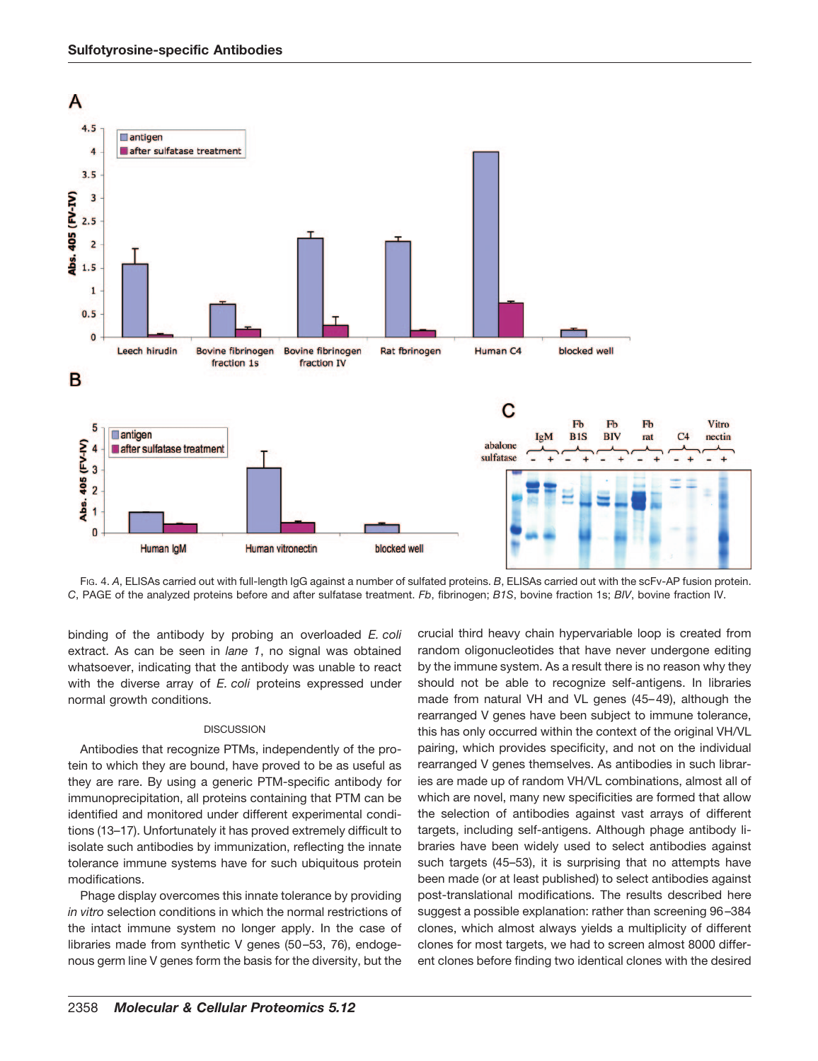

FIG. 4. *A*, ELISAs carried out with full-length IgG against a number of sulfated proteins. *B*, ELISAs carried out with the scFv-AP fusion protein. *C*, PAGE of the analyzed proteins before and after sulfatase treatment. *Fb*, fibrinogen; *B1S*, bovine fraction 1s; *BIV*, bovine fraction IV.

binding of the antibody by probing an overloaded *E. coli* extract. As can be seen in *lane 1*, no signal was obtained whatsoever, indicating that the antibody was unable to react with the diverse array of *E. coli* proteins expressed under normal growth conditions.

### **DISCUSSION**

Antibodies that recognize PTMs, independently of the protein to which they are bound, have proved to be as useful as they are rare. By using a generic PTM-specific antibody for immunoprecipitation, all proteins containing that PTM can be identified and monitored under different experimental conditions (13–17). Unfortunately it has proved extremely difficult to isolate such antibodies by immunization, reflecting the innate tolerance immune systems have for such ubiquitous protein modifications.

Phage display overcomes this innate tolerance by providing *in vitro* selection conditions in which the normal restrictions of the intact immune system no longer apply. In the case of libraries made from synthetic V genes (50-53, 76), endogenous germ line V genes form the basis for the diversity, but the

crucial third heavy chain hypervariable loop is created from random oligonucleotides that have never undergone editing by the immune system. As a result there is no reason why they should not be able to recognize self-antigens. In libraries made from natural VH and VL genes (45-49), although the rearranged V genes have been subject to immune tolerance, this has only occurred within the context of the original VH/VL pairing, which provides specificity, and not on the individual rearranged V genes themselves. As antibodies in such libraries are made up of random VH/VL combinations, almost all of which are novel, many new specificities are formed that allow the selection of antibodies against vast arrays of different targets, including self-antigens. Although phage antibody libraries have been widely used to select antibodies against such targets (45–53), it is surprising that no attempts have been made (or at least published) to select antibodies against post-translational modifications. The results described here suggest a possible explanation: rather than screening 96 –384 clones, which almost always yields a multiplicity of different clones for most targets, we had to screen almost 8000 different clones before finding two identical clones with the desired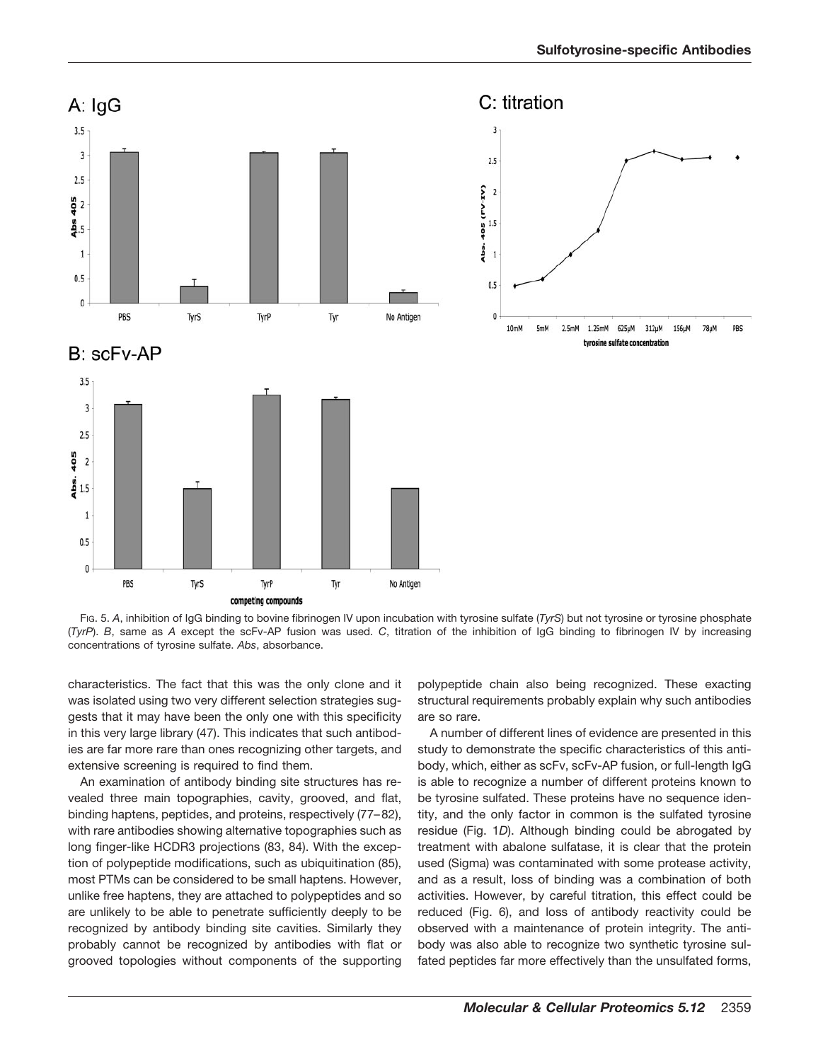







FIG. 5. *A*, inhibition of IgG binding to bovine fibrinogen IV upon incubation with tyrosine sulfate (*TyrS*) but not tyrosine or tyrosine phosphate (*TyrP*). *B*, same as *A* except the scFv-AP fusion was used. *C*, titration of the inhibition of IgG binding to fibrinogen IV by increasing concentrations of tyrosine sulfate. *Abs*, absorbance.

characteristics. The fact that this was the only clone and it was isolated using two very different selection strategies suggests that it may have been the only one with this specificity in this very large library (47). This indicates that such antibodies are far more rare than ones recognizing other targets, and extensive screening is required to find them.

An examination of antibody binding site structures has revealed three main topographies, cavity, grooved, and flat, binding haptens, peptides, and proteins, respectively (77– 82), with rare antibodies showing alternative topographies such as long finger-like HCDR3 projections (83, 84). With the exception of polypeptide modifications, such as ubiquitination (85), most PTMs can be considered to be small haptens. However, unlike free haptens, they are attached to polypeptides and so are unlikely to be able to penetrate sufficiently deeply to be recognized by antibody binding site cavities. Similarly they probably cannot be recognized by antibodies with flat or grooved topologies without components of the supporting

polypeptide chain also being recognized. These exacting structural requirements probably explain why such antibodies are so rare.

A number of different lines of evidence are presented in this study to demonstrate the specific characteristics of this antibody, which, either as scFv, scFv-AP fusion, or full-length IgG is able to recognize a number of different proteins known to be tyrosine sulfated. These proteins have no sequence identity, and the only factor in common is the sulfated tyrosine residue (Fig. 1*D*). Although binding could be abrogated by treatment with abalone sulfatase, it is clear that the protein used (Sigma) was contaminated with some protease activity, and as a result, loss of binding was a combination of both activities. However, by careful titration, this effect could be reduced (Fig. 6), and loss of antibody reactivity could be observed with a maintenance of protein integrity. The antibody was also able to recognize two synthetic tyrosine sulfated peptides far more effectively than the unsulfated forms,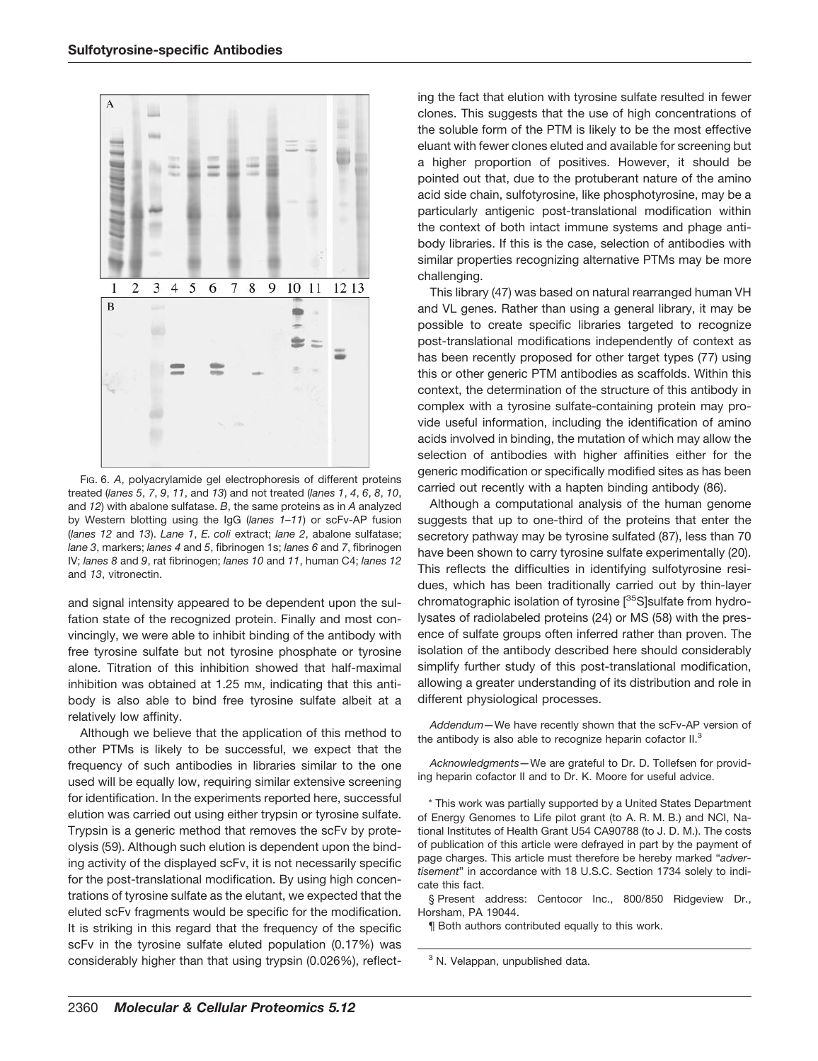

FIG. 6. *A*, polyacrylamide gel electrophoresis of different proteins treated (*lanes 5*, *7*, *9*, *11*, and *13*) and not treated (*lanes 1*, *4*, *6*, *8*, *10*, and *12*) with abalone sulfatase. *B*, the same proteins as in *A* analyzed by Western blotting using the IgG (*lanes 1–11*) or scFv-AP fusion (*lanes 12* and *13*). *Lane 1*, *E. coli* extract; *lane 2*, abalone sulfatase; *lane 3*, markers; *lanes 4* and *5*, fibrinogen 1s; *lanes 6* and *7*, fibrinogen IV; *lanes 8* and *9*, rat fibrinogen; *lanes 10* and *11*, human C4; *lanes 12* and *13*, vitronectin.

and signal intensity appeared to be dependent upon the sulfation state of the recognized protein. Finally and most convincingly, we were able to inhibit binding of the antibody with free tyrosine sulfate but not tyrosine phosphate or tyrosine alone. Titration of this inhibition showed that half-maximal inhibition was obtained at 1.25 mm, indicating that this antibody is also able to bind free tyrosine sulfate albeit at a relatively low affinity.

Although we believe that the application of this method to other PTMs is likely to be successful, we expect that the frequency of such antibodies in libraries similar to the one used will be equally low, requiring similar extensive screening for identification. In the experiments reported here, successful elution was carried out using either trypsin or tyrosine sulfate. Trypsin is a generic method that removes the scFv by proteolysis (59). Although such elution is dependent upon the binding activity of the displayed scFv, it is not necessarily specific for the post-translational modification. By using high concentrations of tyrosine sulfate as the elutant, we expected that the eluted scFv fragments would be specific for the modification. It is striking in this regard that the frequency of the specific scFv in the tyrosine sulfate eluted population (0.17%) was considerably higher than that using trypsin (0.026%), reflecting the fact that elution with tyrosine sulfate resulted in fewer clones. This suggests that the use of high concentrations of the soluble form of the PTM is likely to be the most effective eluant with fewer clones eluted and available for screening but a higher proportion of positives. However, it should be pointed out that, due to the protuberant nature of the amino acid side chain, sulfotyrosine, like phosphotyrosine, may be a particularly antigenic post-translational modification within the context of both intact immune systems and phage antibody libraries. If this is the case, selection of antibodies with similar properties recognizing alternative PTMs may be more challenging.

This library (47) was based on natural rearranged human VH and VL genes. Rather than using a general library, it may be possible to create specific libraries targeted to recognize post-translational modifications independently of context as has been recently proposed for other target types (77) using this or other generic PTM antibodies as scaffolds. Within this context, the determination of the structure of this antibody in complex with a tyrosine sulfate-containing protein may provide useful information, including the identification of amino acids involved in binding, the mutation of which may allow the selection of antibodies with higher affinities either for the generic modification or specifically modified sites as has been carried out recently with a hapten binding antibody (86).

Although a computational analysis of the human genome suggests that up to one-third of the proteins that enter the secretory pathway may be tyrosine sulfated (87), less than 70 have been shown to carry tyrosine sulfate experimentally (20). This reflects the difficulties in identifying sulfotyrosine residues, which has been traditionally carried out by thin-layer chromatographic isolation of tyrosine [35S]sulfate from hydrolysates of radiolabeled proteins (24) or MS (58) with the presence of sulfate groups often inferred rather than proven. The isolation of the antibody described here should considerably simplify further study of this post-translational modification, allowing a greater understanding of its distribution and role in different physiological processes.

*Addendum—*We have recently shown that the scFv-AP version of the antibody is also able to recognize heparin cofactor II.<sup>3</sup>

*Acknowledgments—*We are grateful to Dr. D. Tollefsen for providing heparin cofactor II and to Dr. K. Moore for useful advice.

\* This work was partially supported by a United States Department of Energy Genomes to Life pilot grant (to A. R. M. B.) and NCI, National Institutes of Health Grant U54 CA90788 (to J. D. M.). The costs of publication of this article were defrayed in part by the payment of page charges. This article must therefore be hereby marked "*advertisement*" in accordance with 18 U.S.C. Section 1734 solely to indicate this fact.

§ Present address: Centocor Inc., 800/850 Ridgeview Dr., Horsham, PA 19044.

¶ Both authors contributed equally to this work.

<sup>3</sup> N. Velappan, unpublished data.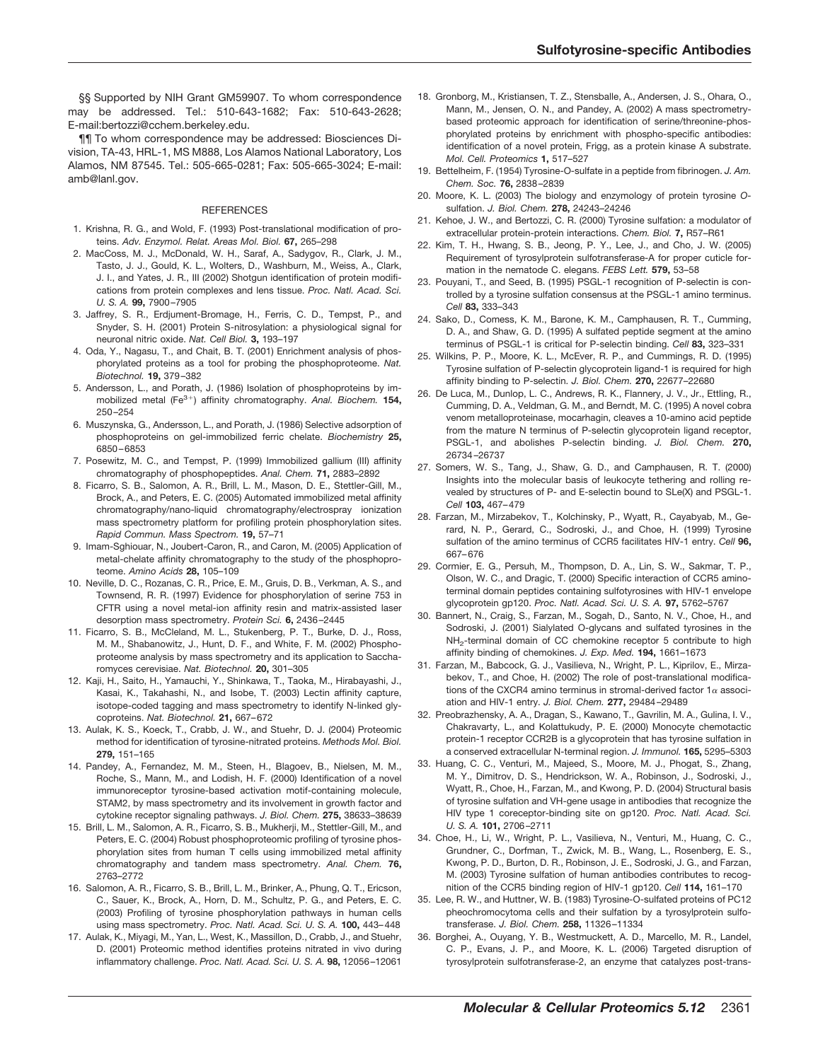§§ Supported by NIH Grant GM59907. To whom correspondence may be addressed. Tel.: 510-643-1682; Fax: 510-643-2628; E-mail:bertozzi@cchem.berkeley.edu.

¶¶ To whom correspondence may be addressed: Biosciences Division, TA-43, HRL-1, MS M888, Los Alamos National Laboratory, Los Alamos, NM 87545. Tel.: 505-665-0281; Fax: 505-665-3024; E-mail: amb@lanl.gov.

#### **REFERENCES**

- 1. Krishna, R. G., and Wold, F. (1993) Post-translational modification of proteins. *Adv. Enzymol. Relat. Areas Mol. Biol.* **67,** 265–298
- 2. MacCoss, M. J., McDonald, W. H., Saraf, A., Sadygov, R., Clark, J. M., Tasto, J. J., Gould, K. L., Wolters, D., Washburn, M., Weiss, A., Clark, J. I., and Yates, J. R., III (2002) Shotgun identification of protein modifications from protein complexes and lens tissue. *Proc. Natl. Acad. Sci. U. S. A.* **99,** 7900 –7905
- 3. Jaffrey, S. R., Erdjument-Bromage, H., Ferris, C. D., Tempst, P., and Snyder, S. H. (2001) Protein S-nitrosylation: a physiological signal for neuronal nitric oxide. *Nat. Cell Biol.* **3,** 193–197
- 4. Oda, Y., Nagasu, T., and Chait, B. T. (2001) Enrichment analysis of phosphorylated proteins as a tool for probing the phosphoproteome. *Nat. Biotechnol.* **19,** 379 –382
- 5. Andersson, L., and Porath, J. (1986) Isolation of phosphoproteins by immobilized metal (Fe<sup>3+</sup>) affinity chromatography. Anal. Biochem. 154, 250 –254
- 6. Muszynska, G., Andersson, L., and Porath, J. (1986) Selective adsorption of phosphoproteins on gel-immobilized ferric chelate. *Biochemistry* **25,** 6850 – 6853
- 7. Posewitz, M. C., and Tempst, P. (1999) Immobilized gallium (III) affinity chromatography of phosphopeptides. *Anal. Chem.* **71,** 2883–2892
- 8. Ficarro, S. B., Salomon, A. R., Brill, L. M., Mason, D. E., Stettler-Gill, M., Brock, A., and Peters, E. C. (2005) Automated immobilized metal affinity chromatography/nano-liquid chromatography/electrospray ionization mass spectrometry platform for profiling protein phosphorylation sites. *Rapid Commun. Mass Spectrom.* **19,** 57–71
- 9. Imam-Sghiouar, N., Joubert-Caron, R., and Caron, M. (2005) Application of metal-chelate affinity chromatography to the study of the phosphoproteome. *Amino Acids* **28,** 105–109
- 10. Neville, D. C., Rozanas, C. R., Price, E. M., Gruis, D. B., Verkman, A. S., and Townsend, R. R. (1997) Evidence for phosphorylation of serine 753 in CFTR using a novel metal-ion affinity resin and matrix-assisted laser desorption mass spectrometry. *Protein Sci.* **6,** 2436 –2445
- 11. Ficarro, S. B., McCleland, M. L., Stukenberg, P. T., Burke, D. J., Ross, M. M., Shabanowitz, J., Hunt, D. F., and White, F. M. (2002) Phosphoproteome analysis by mass spectrometry and its application to Saccharomyces cerevisiae. *Nat. Biotechnol.* **20,** 301–305
- 12. Kaji, H., Saito, H., Yamauchi, Y., Shinkawa, T., Taoka, M., Hirabayashi, J., Kasai, K., Takahashi, N., and Isobe, T. (2003) Lectin affinity capture, isotope-coded tagging and mass spectrometry to identify N-linked glycoproteins. *Nat. Biotechnol.* **21,** 667– 672
- 13. Aulak, K. S., Koeck, T., Crabb, J. W., and Stuehr, D. J. (2004) Proteomic method for identification of tyrosine-nitrated proteins. *Methods Mol. Biol.* **279,** 151–165
- 14. Pandey, A., Fernandez, M. M., Steen, H., Blagoev, B., Nielsen, M. M., Roche, S., Mann, M., and Lodish, H. F. (2000) Identification of a novel immunoreceptor tyrosine-based activation motif-containing molecule, STAM2, by mass spectrometry and its involvement in growth factor and cytokine receptor signaling pathways. *J. Biol. Chem.* **275,** 38633–38639
- 15. Brill, L. M., Salomon, A. R., Ficarro, S. B., Mukherji, M., Stettler-Gill, M., and Peters, E. C. (2004) Robust phosphoproteomic profiling of tyrosine phosphorylation sites from human T cells using immobilized metal affinity chromatography and tandem mass spectrometry. *Anal. Chem.* **76,** 2763–2772
- 16. Salomon, A. R., Ficarro, S. B., Brill, L. M., Brinker, A., Phung, Q. T., Ericson, C., Sauer, K., Brock, A., Horn, D. M., Schultz, P. G., and Peters, E. C. (2003) Profiling of tyrosine phosphorylation pathways in human cells using mass spectrometry. *Proc. Natl. Acad. Sci. U. S. A.* **100,** 443– 448
- 17. Aulak, K., Miyagi, M., Yan, L., West, K., Massillon, D., Crabb, J., and Stuehr, D. (2001) Proteomic method identifies proteins nitrated in vivo during inflammatory challenge. *Proc. Natl. Acad. Sci. U. S. A.* **98,** 12056 –12061
- 18. Gronborg, M., Kristiansen, T. Z., Stensballe, A., Andersen, J. S., Ohara, O., Mann, M., Jensen, O. N., and Pandey, A. (2002) A mass spectrometrybased proteomic approach for identification of serine/threonine-phosphorylated proteins by enrichment with phospho-specific antibodies: identification of a novel protein, Frigg, as a protein kinase A substrate. *Mol. Cell. Proteomics* **1,** 517–527
- 19. Bettelheim, F. (1954) Tyrosine-O-sulfate in a peptide from fibrinogen. *J. Am. Chem. Soc.* **76,** 2838 –2839
- 20. Moore, K. L. (2003) The biology and enzymology of protein tyrosine *O*sulfation. *J. Biol. Chem.* **278,** 24243–24246
- 21. Kehoe, J. W., and Bertozzi, C. R. (2000) Tyrosine sulfation: a modulator of extracellular protein-protein interactions. *Chem. Biol.* **7,** R57–R61
- 22. Kim, T. H., Hwang, S. B., Jeong, P. Y., Lee, J., and Cho, J. W. (2005) Requirement of tyrosylprotein sulfotransferase-A for proper cuticle formation in the nematode C. elegans. *FEBS Lett.* **579,** 53–58
- 23. Pouyani, T., and Seed, B. (1995) PSGL-1 recognition of P-selectin is controlled by a tyrosine sulfation consensus at the PSGL-1 amino terminus. *Cell* **83,** 333–343
- 24. Sako, D., Comess, K. M., Barone, K. M., Camphausen, R. T., Cumming, D. A., and Shaw, G. D. (1995) A sulfated peptide segment at the amino terminus of PSGL-1 is critical for P-selectin binding. *Cell* **83,** 323–331
- 25. Wilkins, P. P., Moore, K. L., McEver, R. P., and Cummings, R. D. (1995) Tyrosine sulfation of P-selectin glycoprotein ligand-1 is required for high affinity binding to P-selectin. *J. Biol. Chem.* **270,** 22677–22680
- 26. De Luca, M., Dunlop, L. C., Andrews, R. K., Flannery, J. V., Jr., Ettling, R., Cumming, D. A., Veldman, G. M., and Berndt, M. C. (1995) A novel cobra venom metalloproteinase, mocarhagin, cleaves a 10-amino acid peptide from the mature N terminus of P-selectin glycoprotein ligand receptor, PSGL-1, and abolishes P-selectin binding. *J. Biol. Chem.* **270,** 26734 –26737
- 27. Somers, W. S., Tang, J., Shaw, G. D., and Camphausen, R. T. (2000) Insights into the molecular basis of leukocyte tethering and rolling revealed by structures of P- and E-selectin bound to SLe(X) and PSGL-1. *Cell* **103,** 467– 479
- 28. Farzan, M., Mirzabekov, T., Kolchinsky, P., Wyatt, R., Cayabyab, M., Gerard, N. P., Gerard, C., Sodroski, J., and Choe, H. (1999) Tyrosine sulfation of the amino terminus of CCR5 facilitates HIV-1 entry. *Cell* **96,** 667– 676
- 29. Cormier, E. G., Persuh, M., Thompson, D. A., Lin, S. W., Sakmar, T. P., Olson, W. C., and Dragic, T. (2000) Specific interaction of CCR5 aminoterminal domain peptides containing sulfotyrosines with HIV-1 envelope glycoprotein gp120. *Proc. Natl. Acad. Sci. U. S. A.* **97,** 5762–5767
- 30. Bannert, N., Craig, S., Farzan, M., Sogah, D., Santo, N. V., Choe, H., and Sodroski, J. (2001) Sialylated O-glycans and sulfated tyrosines in the NH2-terminal domain of CC chemokine receptor 5 contribute to high affinity binding of chemokines. *J. Exp. Med.* **194,** 1661–1673
- 31. Farzan, M., Babcock, G. J., Vasilieva, N., Wright, P. L., Kiprilov, E., Mirzabekov, T., and Choe, H. (2002) The role of post-translational modifications of the CXCR4 amino terminus in stromal-derived factor  $1\alpha$  association and HIV-1 entry. *J. Biol. Chem.* **277,** 29484 –29489
- 32. Preobrazhensky, A. A., Dragan, S., Kawano, T., Gavrilin, M. A., Gulina, I. V., Chakravarty, L., and Kolattukudy, P. E. (2000) Monocyte chemotactic protein-1 receptor CCR2B is a glycoprotein that has tyrosine sulfation in a conserved extracellular N-terminal region. *J. Immunol.* **165,** 5295–5303
- 33. Huang, C. C., Venturi, M., Majeed, S., Moore, M. J., Phogat, S., Zhang, M. Y., Dimitrov, D. S., Hendrickson, W. A., Robinson, J., Sodroski, J., Wyatt, R., Choe, H., Farzan, M., and Kwong, P. D. (2004) Structural basis of tyrosine sulfation and VH-gene usage in antibodies that recognize the HIV type 1 coreceptor-binding site on gp120. *Proc. Natl. Acad. Sci. U. S. A.* **101,** 2706 –2711
- 34. Choe, H., Li, W., Wright, P. L., Vasilieva, N., Venturi, M., Huang, C. C., Grundner, C., Dorfman, T., Zwick, M. B., Wang, L., Rosenberg, E. S., Kwong, P. D., Burton, D. R., Robinson, J. E., Sodroski, J. G., and Farzan, M. (2003) Tyrosine sulfation of human antibodies contributes to recognition of the CCR5 binding region of HIV-1 gp120. *Cell* **114,** 161–170
- 35. Lee, R. W., and Huttner, W. B. (1983) Tyrosine-O-sulfated proteins of PC12 pheochromocytoma cells and their sulfation by a tyrosylprotein sulfotransferase. *J. Biol. Chem.* **258,** 11326 –11334
- 36. Borghei, A., Ouyang, Y. B., Westmuckett, A. D., Marcello, M. R., Landel, C. P., Evans, J. P., and Moore, K. L. (2006) Targeted disruption of tyrosylprotein sulfotransferase-2, an enzyme that catalyzes post-trans-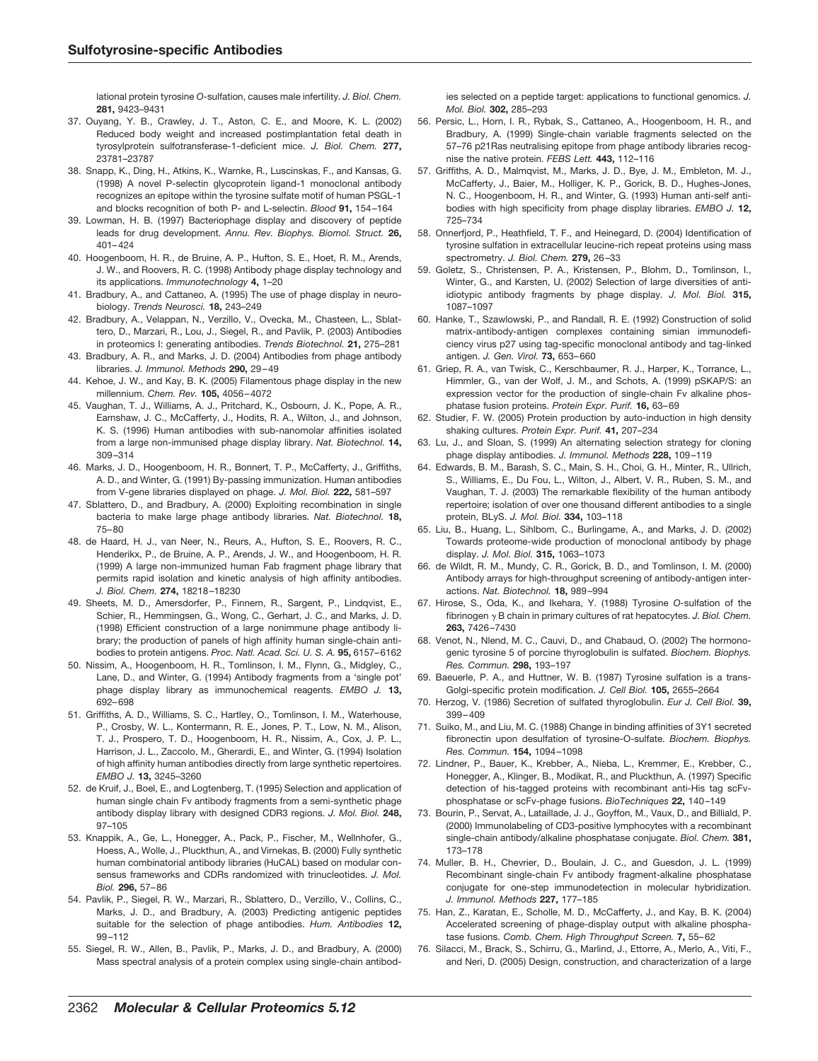lational protein tyrosine *O-*sulfation, causes male infertility. *J. Biol. Chem.* **281,** 9423–9431

- 37. Ouyang, Y. B., Crawley, J. T., Aston, C. E., and Moore, K. L. (2002) Reduced body weight and increased postimplantation fetal death in tyrosylprotein sulfotransferase-1-deficient mice. *J. Biol. Chem.* **277,** 23781–23787
- 38. Snapp, K., Ding, H., Atkins, K., Warnke, R., Luscinskas, F., and Kansas, G. (1998) A novel P-selectin glycoprotein ligand-1 monoclonal antibody recognizes an epitope within the tyrosine sulfate motif of human PSGL-1 and blocks recognition of both P- and L-selectin. *Blood* **91,** 154 –164
- 39. Lowman, H. B. (1997) Bacteriophage display and discovery of peptide leads for drug development. *Annu. Rev. Biophys. Biomol. Struct.* **26,** 401– 424
- 40. Hoogenboom, H. R., de Bruine, A. P., Hufton, S. E., Hoet, R. M., Arends, J. W., and Roovers, R. C. (1998) Antibody phage display technology and its applications. *Immunotechnology* **4,** 1–20
- 41. Bradbury, A., and Cattaneo, A. (1995) The use of phage display in neurobiology. *Trends Neurosci.* **18,** 243–249
- 42. Bradbury, A., Velappan, N., Verzillo, V., Ovecka, M., Chasteen, L., Sblattero, D., Marzari, R., Lou, J., Siegel, R., and Pavlik, P. (2003) Antibodies in proteomics I: generating antibodies. *Trends Biotechnol.* **21,** 275–281
- 43. Bradbury, A. R., and Marks, J. D. (2004) Antibodies from phage antibody libraries. *J. Immunol. Methods* **290,** 29 – 49
- 44. Kehoe, J. W., and Kay, B. K. (2005) Filamentous phage display in the new millennium. *Chem. Rev.* **105,** 4056 – 4072
- 45. Vaughan, T. J., Williams, A. J., Pritchard, K., Osbourn, J. K., Pope, A. R., Earnshaw, J. C., McCafferty, J., Hodits, R. A., Wilton, J., and Johnson, K. S. (1996) Human antibodies with sub-nanomolar affinities isolated from a large non-immunised phage display library. *Nat. Biotechnol.* **14,** 309 –314
- 46. Marks, J. D., Hoogenboom, H. R., Bonnert, T. P., McCafferty, J., Griffiths, A. D., and Winter, G. (1991) By-passing immunization. Human antibodies from V-gene libraries displayed on phage. *J. Mol. Biol.* **222,** 581–597
- 47. Sblattero, D., and Bradbury, A. (2000) Exploiting recombination in single bacteria to make large phage antibody libraries. *Nat. Biotechnol.* **18,** 75– 80
- 48. de Haard, H. J., van Neer, N., Reurs, A., Hufton, S. E., Roovers, R. C., Henderikx, P., de Bruine, A. P., Arends, J. W., and Hoogenboom, H. R. (1999) A large non-immunized human Fab fragment phage library that permits rapid isolation and kinetic analysis of high affinity antibodies. *J. Biol. Chem.* **274,** 18218 –18230
- 49. Sheets, M. D., Amersdorfer, P., Finnern, R., Sargent, P., Lindqvist, E., Schier, R., Hemmingsen, G., Wong, C., Gerhart, J. C., and Marks, J. D. (1998) Efficient construction of a large nonimmune phage antibody library; the production of panels of high affinity human single-chain antibodies to protein antigens. *Proc. Natl. Acad. Sci. U. S. A.* **95,** 6157– 6162
- 50. Nissim, A., Hoogenboom, H. R., Tomlinson, I. M., Flynn, G., Midgley, C., Lane, D., and Winter, G. (1994) Antibody fragments from a 'single pot' phage display library as immunochemical reagents. *EMBO J.* **13,** 692– 698
- 51. Griffiths, A. D., Williams, S. C., Hartley, O., Tomlinson, I. M., Waterhouse, P., Crosby, W. L., Kontermann, R. E., Jones, P. T., Low, N. M., Alison, T. J., Prospero, T. D., Hoogenboom, H. R., Nissim, A., Cox, J. P. L., Harrison, J. L., Zaccolo, M., Gherardi, E., and Winter, G. (1994) Isolation of high affinity human antibodies directly from large synthetic repertoires. *EMBO J.* **13,** 3245–3260
- 52. de Kruif, J., Boel, E., and Logtenberg, T. (1995) Selection and application of human single chain Fv antibody fragments from a semi-synthetic phage antibody display library with designed CDR3 regions. *J. Mol. Biol.* **248,** 97–105
- 53. Knappik, A., Ge, L., Honegger, A., Pack, P., Fischer, M., Wellnhofer, G., Hoess, A., Wolle, J., Pluckthun, A., and Virnekas, B. (2000) Fully synthetic human combinatorial antibody libraries (HuCAL) based on modular consensus frameworks and CDRs randomized with trinucleotides. *J. Mol. Biol.* **296,** 57– 86
- 54. Pavlik, P., Siegel, R. W., Marzari, R., Sblattero, D., Verzillo, V., Collins, C., Marks, J. D., and Bradbury, A. (2003) Predicting antigenic peptides suitable for the selection of phage antibodies. *Hum. Antibodies* **12,** 99 –112
- 55. Siegel, R. W., Allen, B., Pavlik, P., Marks, J. D., and Bradbury, A. (2000) Mass spectral analysis of a protein complex using single-chain antibod-

ies selected on a peptide target: applications to functional genomics. *J. Mol. Biol.* **302,** 285–293

- 56. Persic, L., Horn, I. R., Rybak, S., Cattaneo, A., Hoogenboom, H. R., and Bradbury, A. (1999) Single-chain variable fragments selected on the 57–76 p21Ras neutralising epitope from phage antibody libraries recognise the native protein. *FEBS Lett.* **443,** 112–116
- 57. Griffiths, A. D., Malmqvist, M., Marks, J. D., Bye, J. M., Embleton, M. J., McCafferty, J., Baier, M., Holliger, K. P., Gorick, B. D., Hughes-Jones, N. C., Hoogenboom, H. R., and Winter, G. (1993) Human anti-self antibodies with high specificity from phage display libraries. *EMBO J.* **12,** 725–734
- 58. Onnerfjord, P., Heathfield, T. F., and Heinegard, D. (2004) Identification of tyrosine sulfation in extracellular leucine-rich repeat proteins using mass spectrometry. *J. Biol. Chem.* **279,** 26 –33
- 59. Goletz, S., Christensen, P. A., Kristensen, P., Blohm, D., Tomlinson, I., Winter, G., and Karsten, U. (2002) Selection of large diversities of antiidiotypic antibody fragments by phage display. *J. Mol. Biol.* **315,** 1087–1097
- 60. Hanke, T., Szawlowski, P., and Randall, R. E. (1992) Construction of solid matrix-antibody-antigen complexes containing simian immunodeficiency virus p27 using tag-specific monoclonal antibody and tag-linked antigen. *J. Gen. Virol.* **73,** 653– 660
- 61. Griep, R. A., van Twisk, C., Kerschbaumer, R. J., Harper, K., Torrance, L., Himmler, G., van der Wolf, J. M., and Schots, A. (1999) pSKAP/S: an expression vector for the production of single-chain Fv alkaline phosphatase fusion proteins. *Protein Expr. Purif.* **16,** 63– 69
- 62. Studier, F. W. (2005) Protein production by auto-induction in high density shaking cultures. *Protein Expr. Purif.* **41,** 207–234
- 63. Lu, J., and Sloan, S. (1999) An alternating selection strategy for cloning phage display antibodies. *J. Immunol. Methods* **228,** 109 –119
- 64. Edwards, B. M., Barash, S. C., Main, S. H., Choi, G. H., Minter, R., Ullrich, S., Williams, E., Du Fou, L., Wilton, J., Albert, V. R., Ruben, S. M., and Vaughan, T. J. (2003) The remarkable flexibility of the human antibody repertoire; isolation of over one thousand different antibodies to a single protein, BLyS. *J. Mol. Biol.* **334,** 103–118
- 65. Liu, B., Huang, L., Sihlbom, C., Burlingame, A., and Marks, J. D. (2002) Towards proteome-wide production of monoclonal antibody by phage display. *J. Mol. Biol.* **315,** 1063–1073
- 66. de Wildt, R. M., Mundy, C. R., Gorick, B. D., and Tomlinson, I. M. (2000) Antibody arrays for high-throughput screening of antibody-antigen interactions. *Nat. Biotechnol.* **18,** 989 –994
- 67. Hirose, S., Oda, K., and Ikehara, Y. (1988) Tyrosine *O-*sulfation of the fibrinogen  $\gamma$  B chain in primary cultures of rat hepatocytes. *J. Biol. Chem.* **263,** 7426 –7430
- 68. Venot, N., Nlend, M. C., Cauvi, D., and Chabaud, O. (2002) The hormonogenic tyrosine 5 of porcine thyroglobulin is sulfated. *Biochem. Biophys. Res. Commun.* **298,** 193–197
- 69. Baeuerle, P. A., and Huttner, W. B. (1987) Tyrosine sulfation is a trans-Golgi-specific protein modification. *J. Cell Biol.* **105,** 2655–2664
- 70. Herzog, V. (1986) Secretion of sulfated thyroglobulin. *Eur J. Cell Biol.* **39,** 399 – 409
- 71. Suiko, M., and Liu, M. C. (1988) Change in binding affinities of 3Y1 secreted fibronectin upon desulfation of tyrosine-O-sulfate. *Biochem. Biophys. Res. Commun.* **154,** 1094 –1098
- 72. Lindner, P., Bauer, K., Krebber, A., Nieba, L., Kremmer, E., Krebber, C., Honegger, A., Klinger, B., Modikat, R., and Pluckthun, A. (1997) Specific detection of his-tagged proteins with recombinant anti-His tag scFvphosphatase or scFv-phage fusions. *BioTechniques* **22,** 140 –149
- 73. Bourin, P., Servat, A., Lataillade, J. J., Goyffon, M., Vaux, D., and Billiald, P. (2000) Immunolabeling of CD3-positive lymphocytes with a recombinant single-chain antibody/alkaline phosphatase conjugate. *Biol. Chem.* **381,** 173–178
- 74. Muller, B. H., Chevrier, D., Boulain, J. C., and Guesdon, J. L. (1999) Recombinant single-chain Fv antibody fragment-alkaline phosphatase conjugate for one-step immunodetection in molecular hybridization. *J. Immunol. Methods* **227,** 177–185
- 75. Han, Z., Karatan, E., Scholle, M. D., McCafferty, J., and Kay, B. K. (2004) Accelerated screening of phage-display output with alkaline phosphatase fusions. *Comb. Chem. High Throughput Screen.* **7,** 55– 62
- 76. Silacci, M., Brack, S., Schirru, G., Marlind, J., Ettorre, A., Merlo, A., Viti, F., and Neri, D. (2005) Design, construction, and characterization of a large